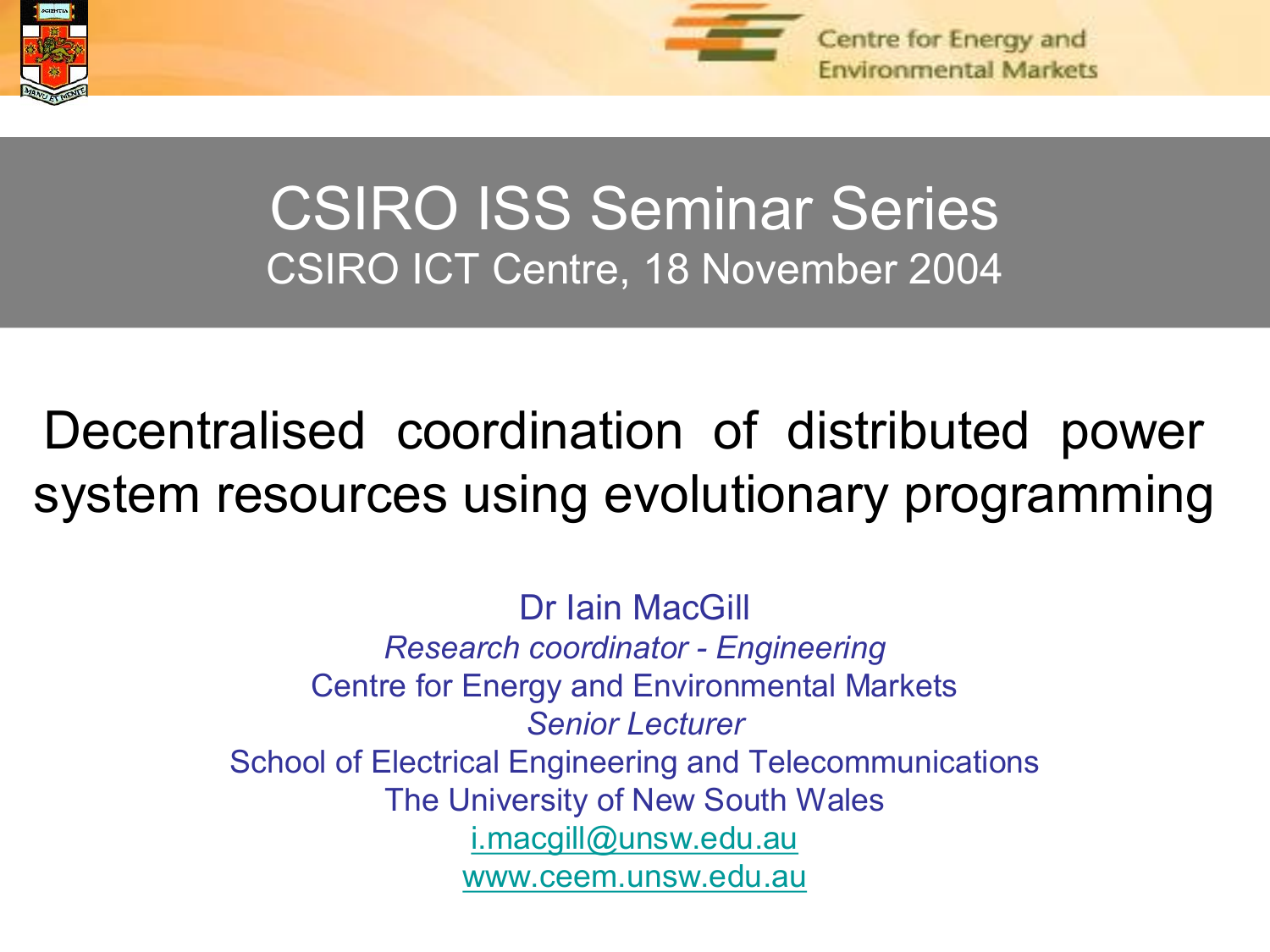



#### CSIRO ISS Seminar Series CSIRO ICT Centre, 18 November 2004

## Decentralised coordination of distributed power system resources using evolutionary programming

Dr Iain MacGill *Research coordinator Engineering* Centre for Energy and Environmental Markets *Senior Lecturer* School of Electrical Engineering and Telecommunications The University of New South Wales [i.macgill@unsw.edu.au](mailto:i.macgill@unsw.edu.au) [www.ceem.unsw.edu.au](http://www.ceem.unsw.edu.au/)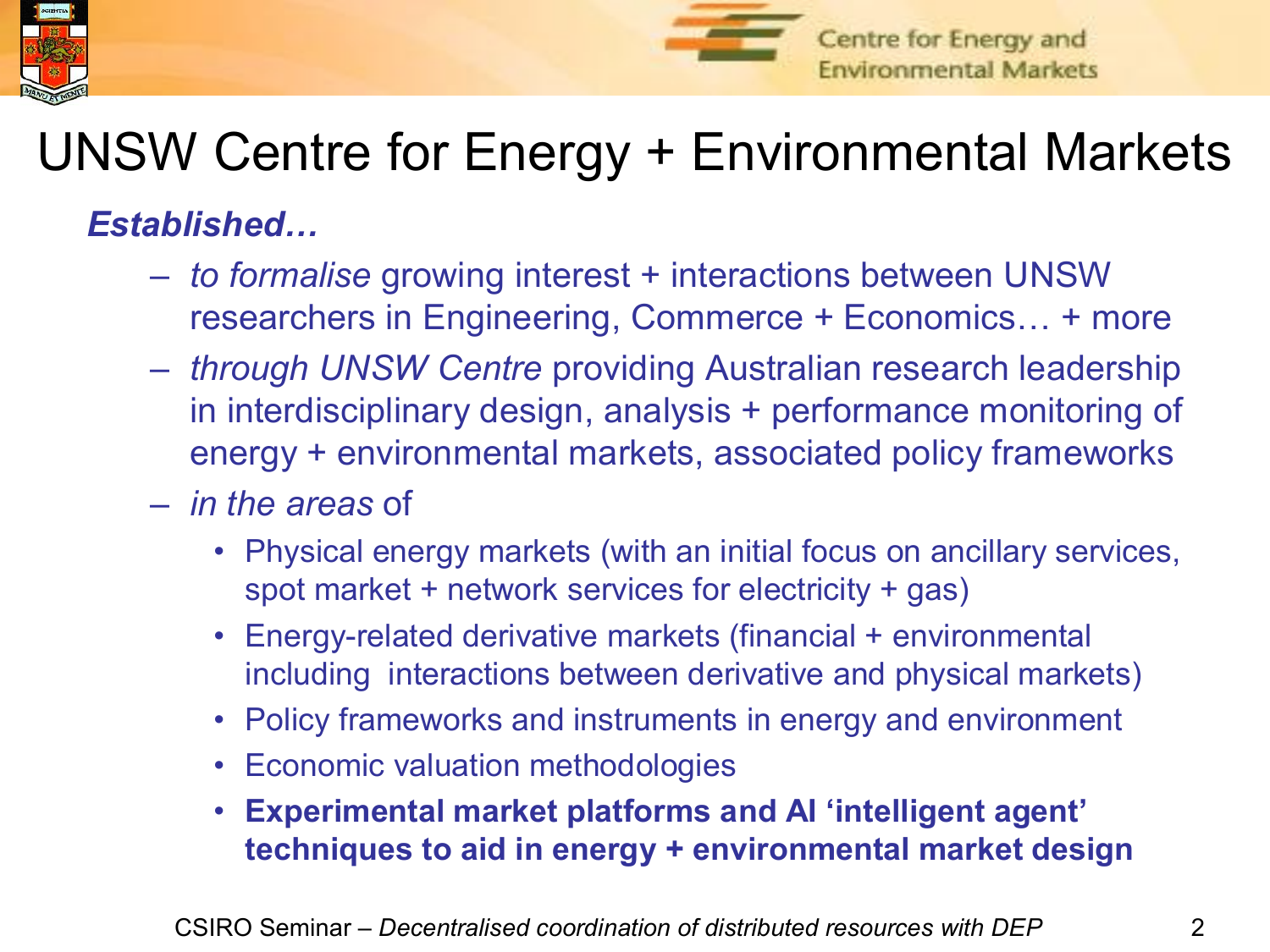



## UNSW Centre for Energy + Environmental Markets

*Established…*

- *to formalise* growing interest + interactions between UNSW researchers in Engineering, Commerce + Economics… + more
- *through UNSW Centre* providing Australian research leadership in interdisciplinary design, analysis + performance monitoring of energy + environmental markets, associated policy frameworks
- *in the areas* of
	- Physical energy markets (with an initial focus on ancillary services, spot market + network services for electricity + gas)
	- Energy-related derivative markets (financial + environmental including interactions between derivative and physical markets)
	- Policy frameworks and instruments in energy and environment
	- Economic valuation methodologies
	- **Experimental market platforms and AI 'intelligent agent' techniques to aid in energy + environmental market design**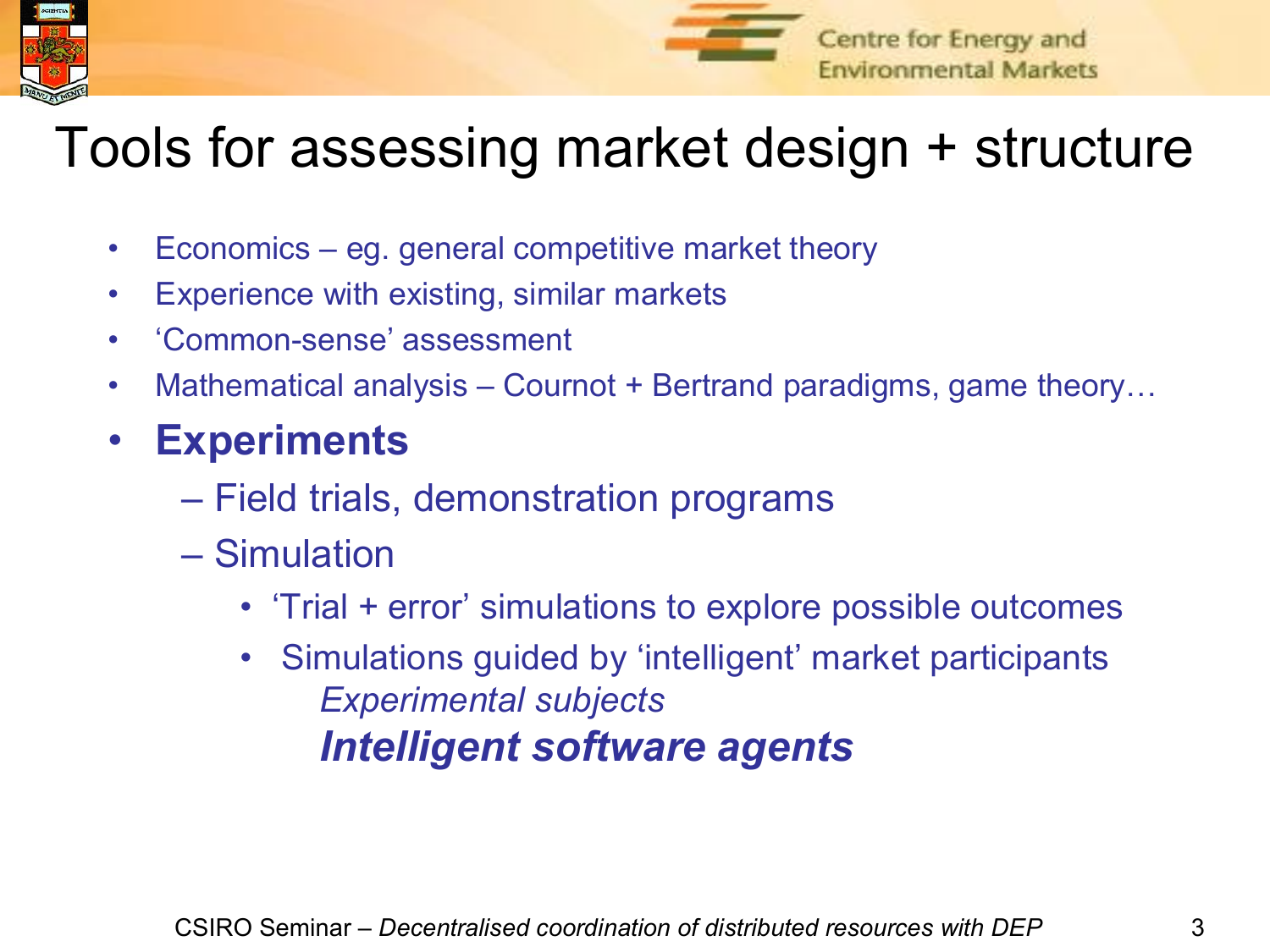



## Tools for assessing market design + structure

- Economics eg. general competitive market theory
- Experience with existing, similar markets
- 'Common-sense' assessment
- Mathematical analysis Cournot + Bertrand paradigms, game theory...
- **Experiments**
	- Field trials, demonstration programs
	- Simulation
		- 'Trial + error' simulations to explore possible outcomes
		- Simulations guided by 'intelligent' market participants *Experimental subjects Intelligent software agents*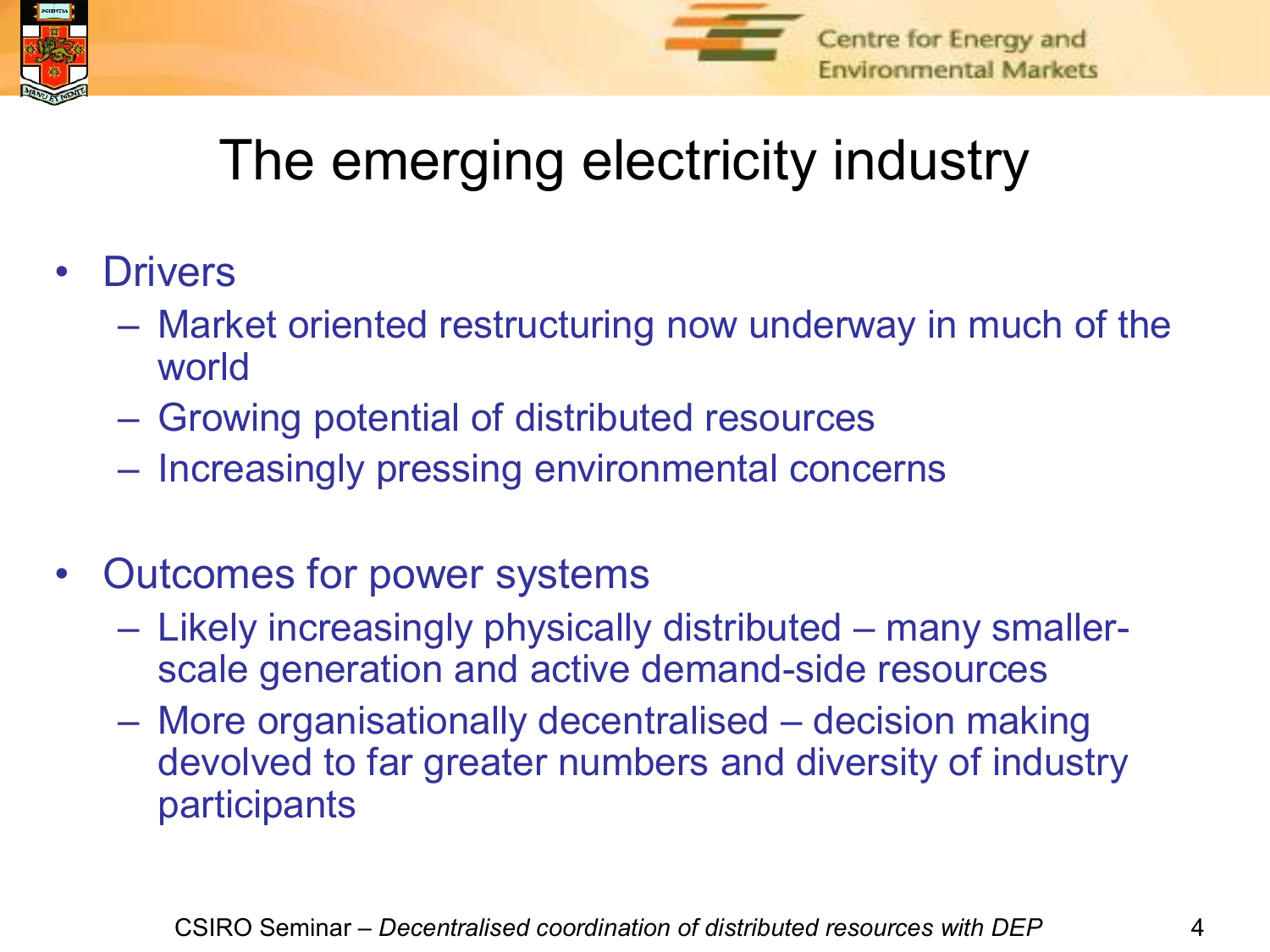



# The emerging electricity industry

- Drivers
	- Market oriented restructuring now underway in much of the world
	- Growing potential of distributed resources
	- Increasingly pressing environmental concerns
- Outcomes for power systems
	- Likely increasingly physically distributed many smallerscale generation and active demand-side resources
	- More organisationally decentralised decision making devolved to far greater numbers and diversity of industry participants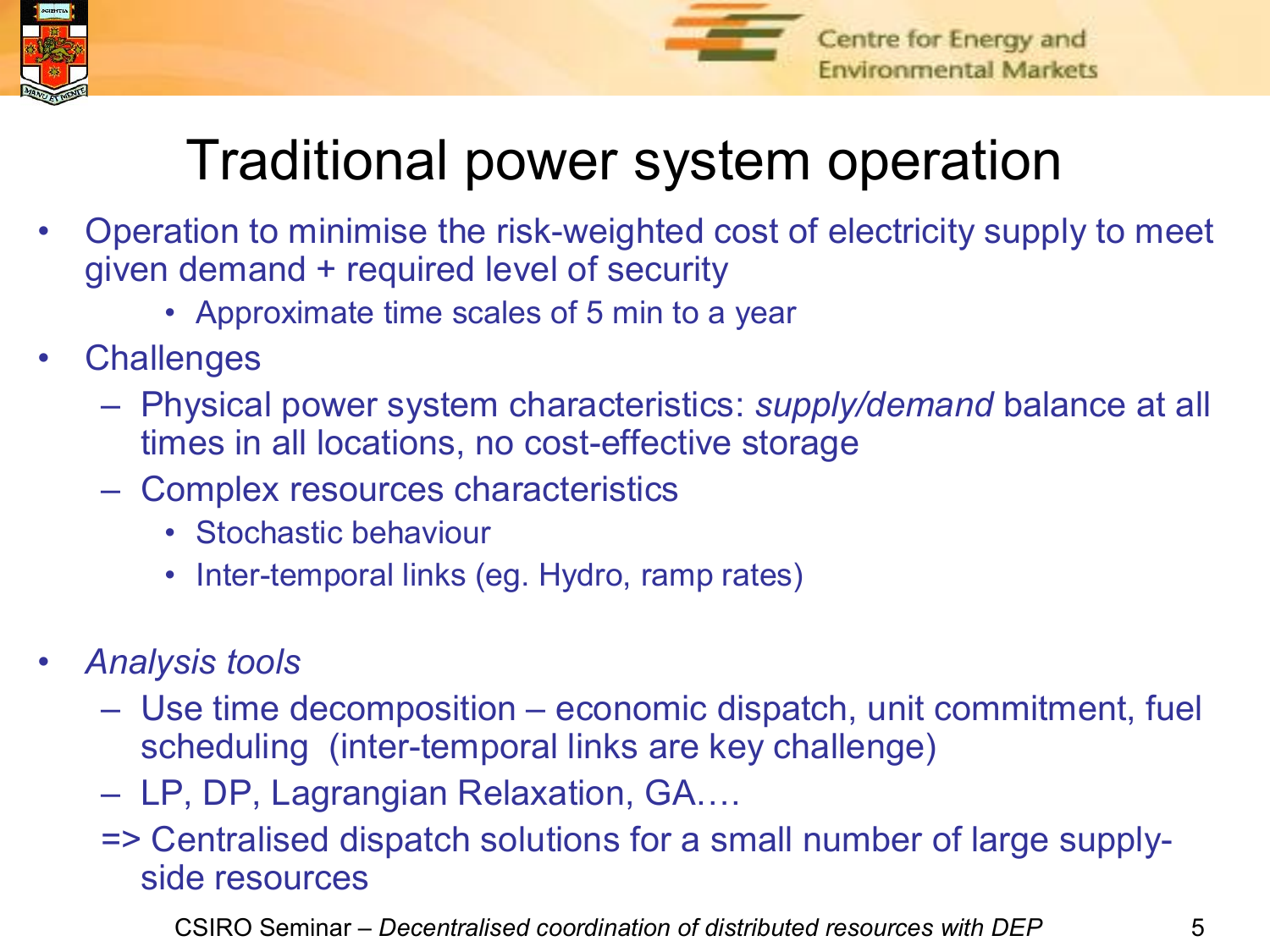



## Traditional power system operation

- Operation to minimise the risk-weighted cost of electricity supply to meet given demand + required level of security
	- Approximate time scales of 5 min to a year
- **Challenges** 
	- Physical power system characteristics: *supply/demand* balance at all times in all locations, no cost-effective storage
	- Complex resources characteristics
		- Stochastic behaviour
		- Inter-temporal links (eg. Hydro, ramp rates)
- *Analysis tools*
	- Use time decomposition economic dispatch, unit commitment, fuel scheduling (inter-temporal links are key challenge)
	- LP, DP, Lagrangian Relaxation, GA….
	- => Centralised dispatch solutions for a small number of large supply side resources

CSIRO Seminar – *Decentralised coordination of distributed resources with DEP* 5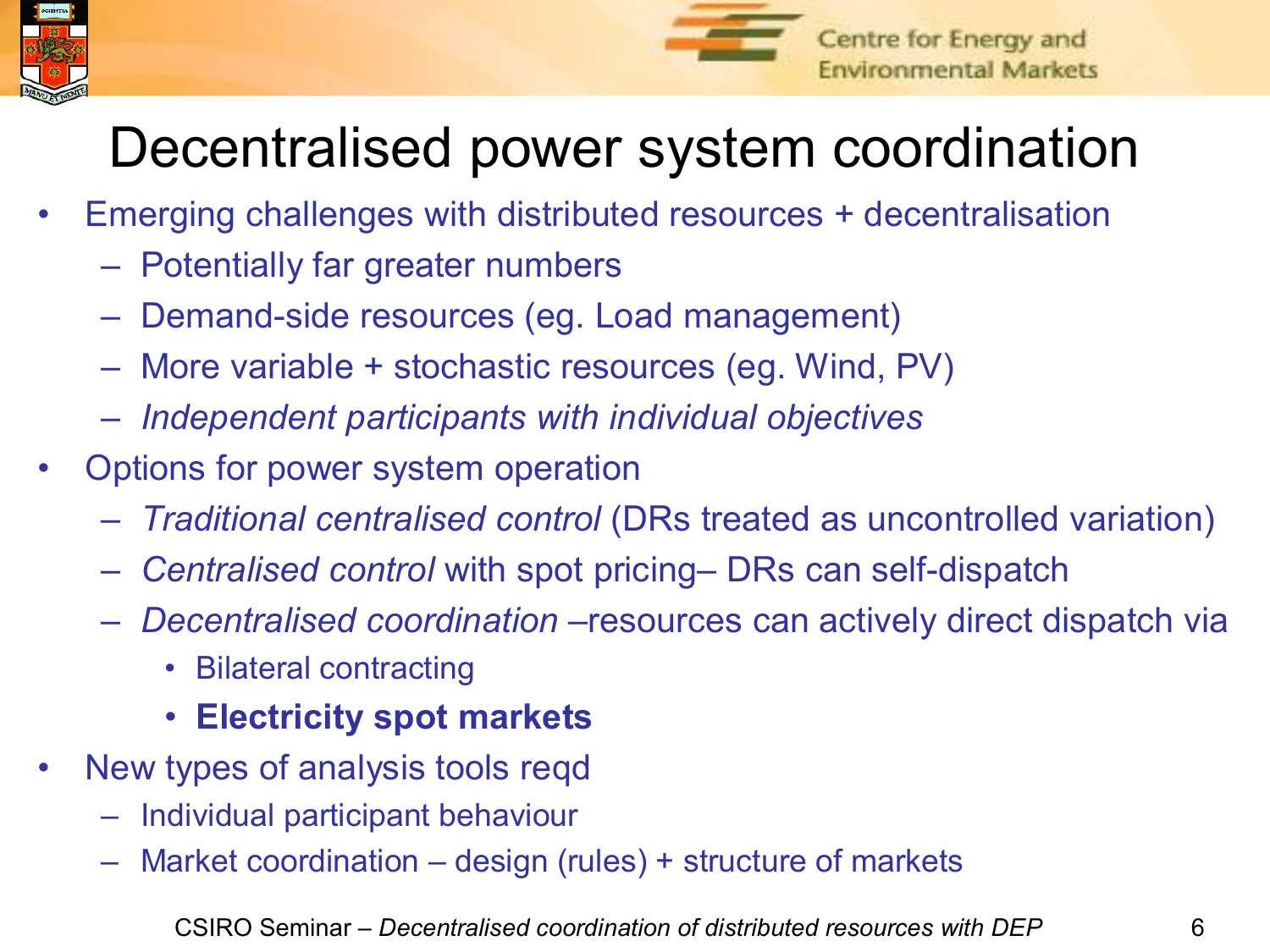



# Decentralised power system coordination

- Emerging challenges with distributed resources + decentralisation
	- Potentially far greater numbers
	- Demand-side resources (eg. Load management)
	- More variable + stochastic resources (eg. Wind, PV)
	- *Independent participants with individual objectives*
- Options for power system operation
	- *Traditional centralised control* (DRs treated as uncontrolled variation)
	- *Centralised control* with spot pricing– DRs can self-dispatch
	- *Decentralised coordination* –resources can actively direct dispatch via
		- Bilateral contracting
		- **Electricity spot markets**
- New types of analysis tools reqd
	- Individual participant behaviour
	- Market coordination design (rules) + structure of markets

CSIRO Seminar – *Decentralised coordination of distributed resources with DEP* 6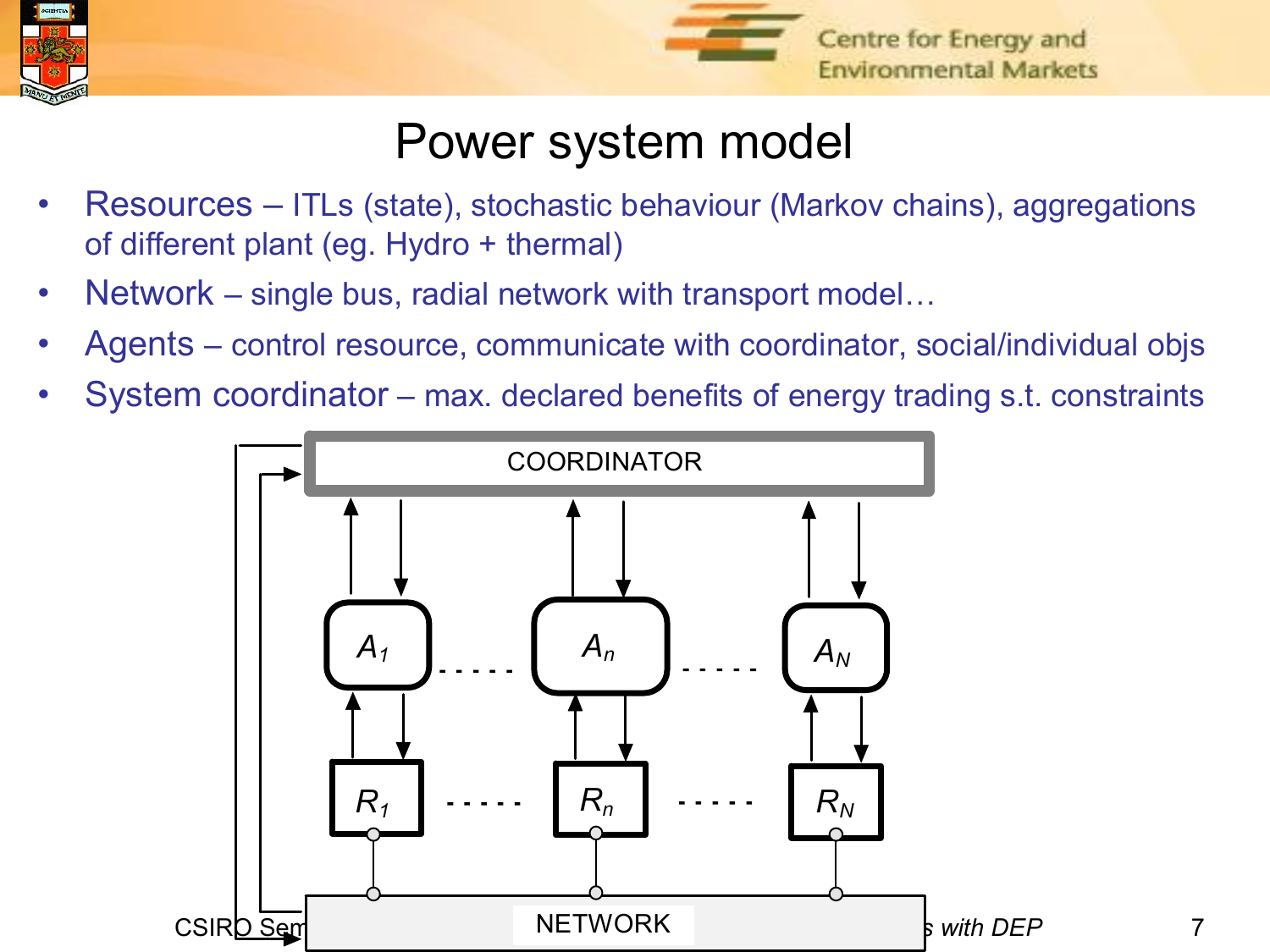



#### Power system model

- Resources ITLs (state), stochastic behaviour (Markov chains), aggregations of different plant (eg. Hydro + thermal)
- Network single bus, radial network with transport model...
- Agents control resource, communicate with coordinator, social/individual objs
- System coordinator max. declared benefits of energy trading s.t. constraints

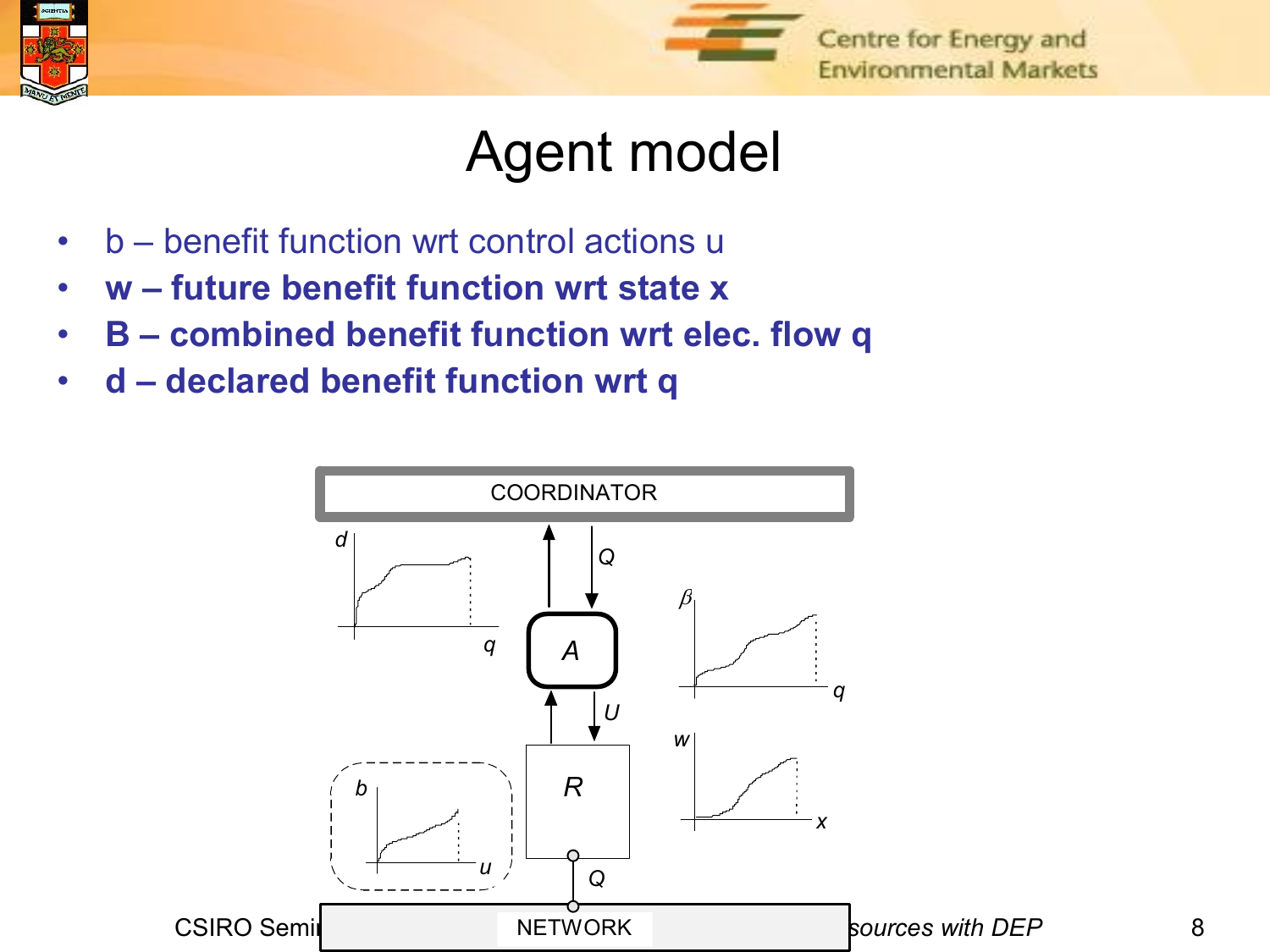



#### Agent model

- b benefit function wrt control actions u
- **w future benefit function wrt state x**
- **B combined benefit function wrt elec. flow q**
- **d declared benefit function wrt q**

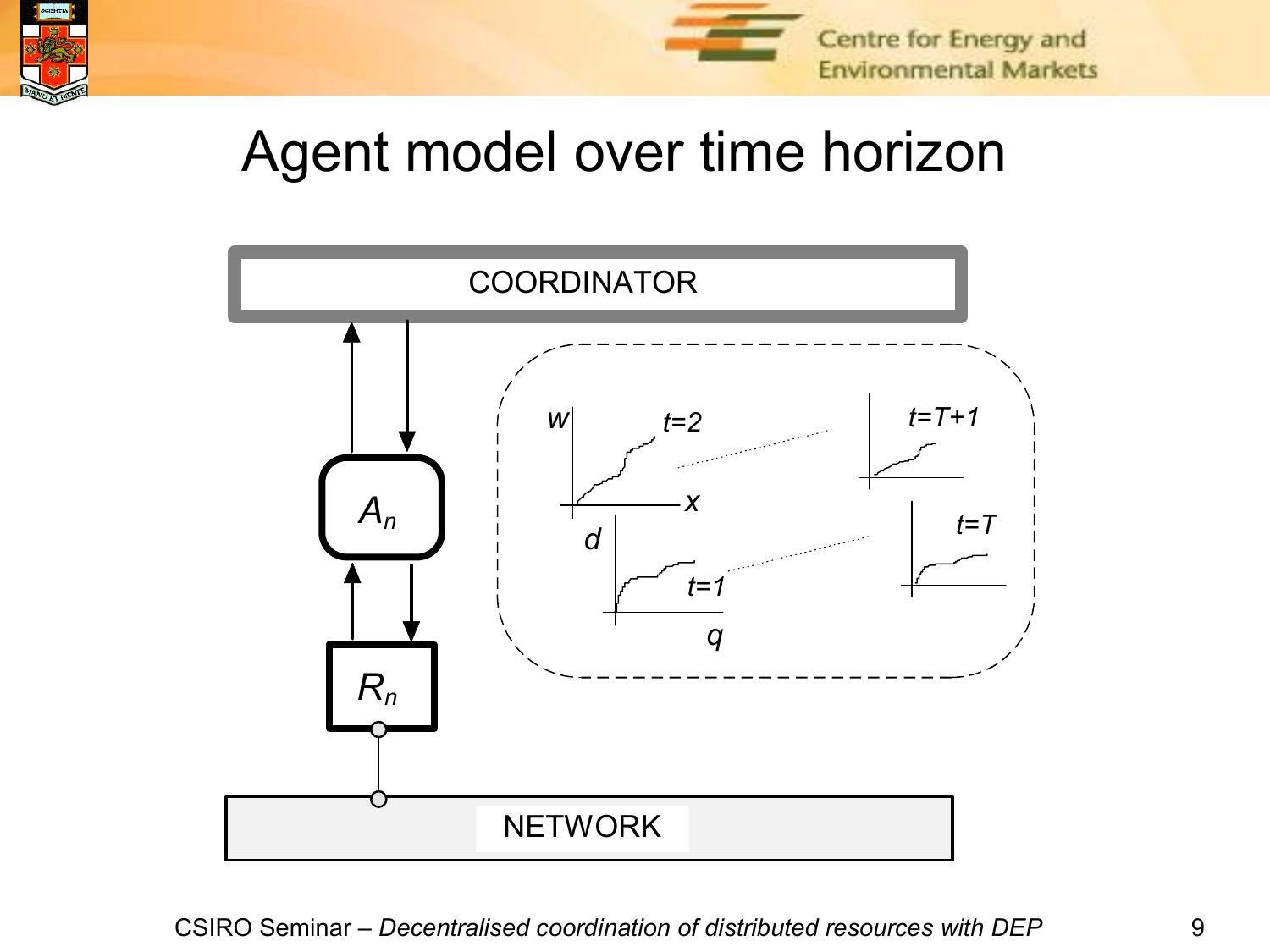



#### Agent model over time horizon

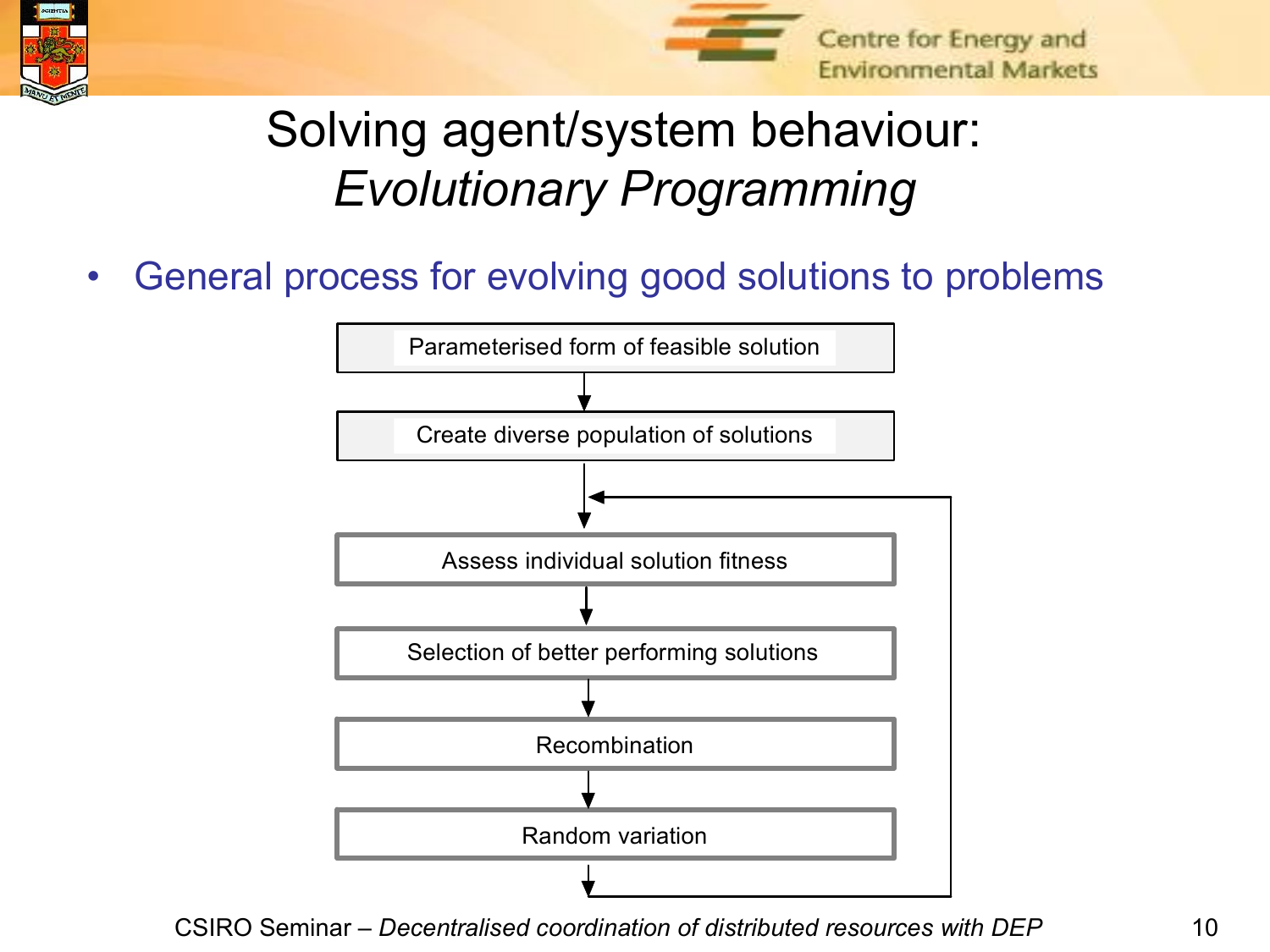



#### Solving agent/system behaviour: *Evolutionary Programming*

• General process for evolving good solutions to problems

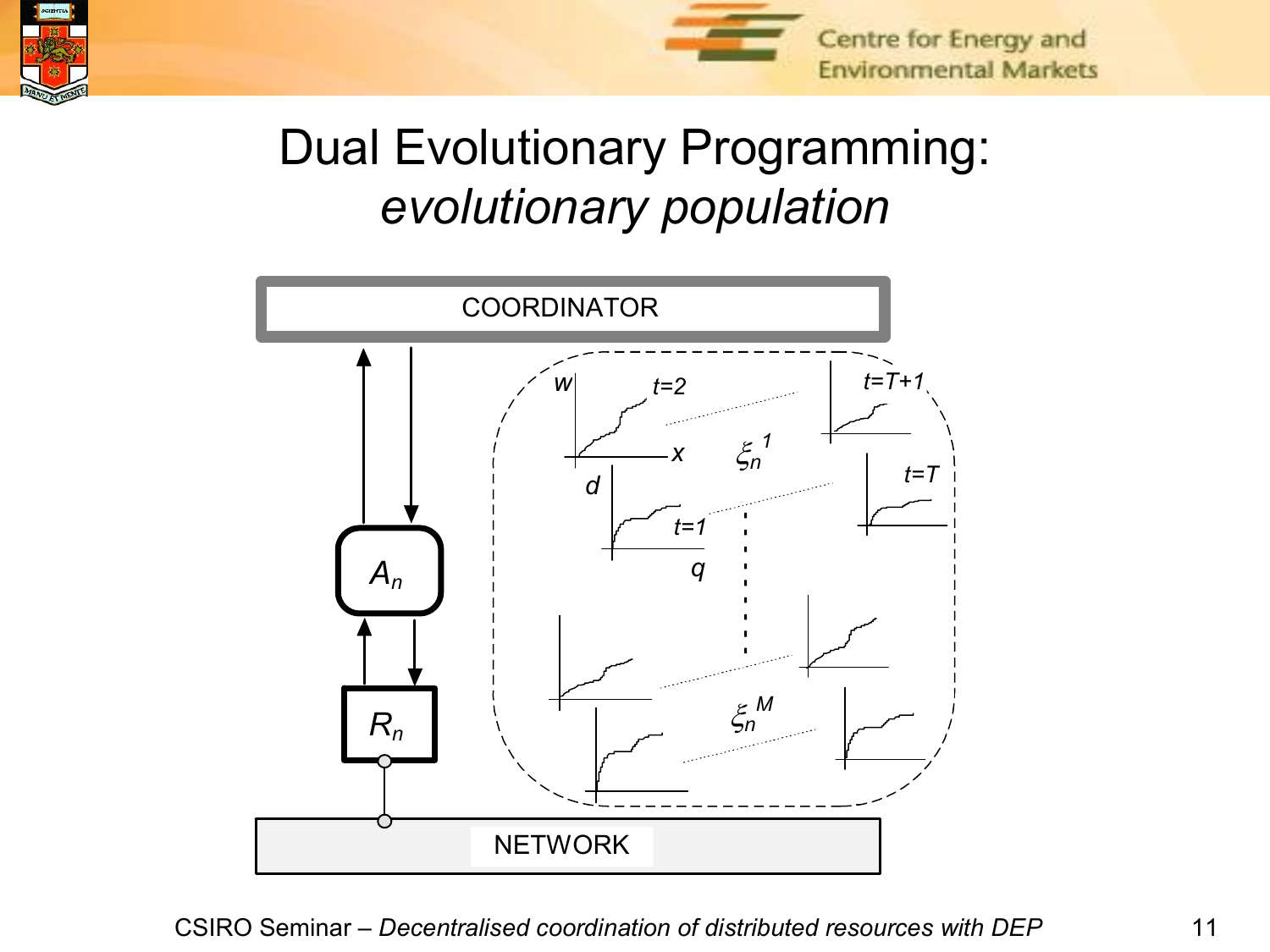



#### Dual Evolutionary Programming: *evolutionary population*

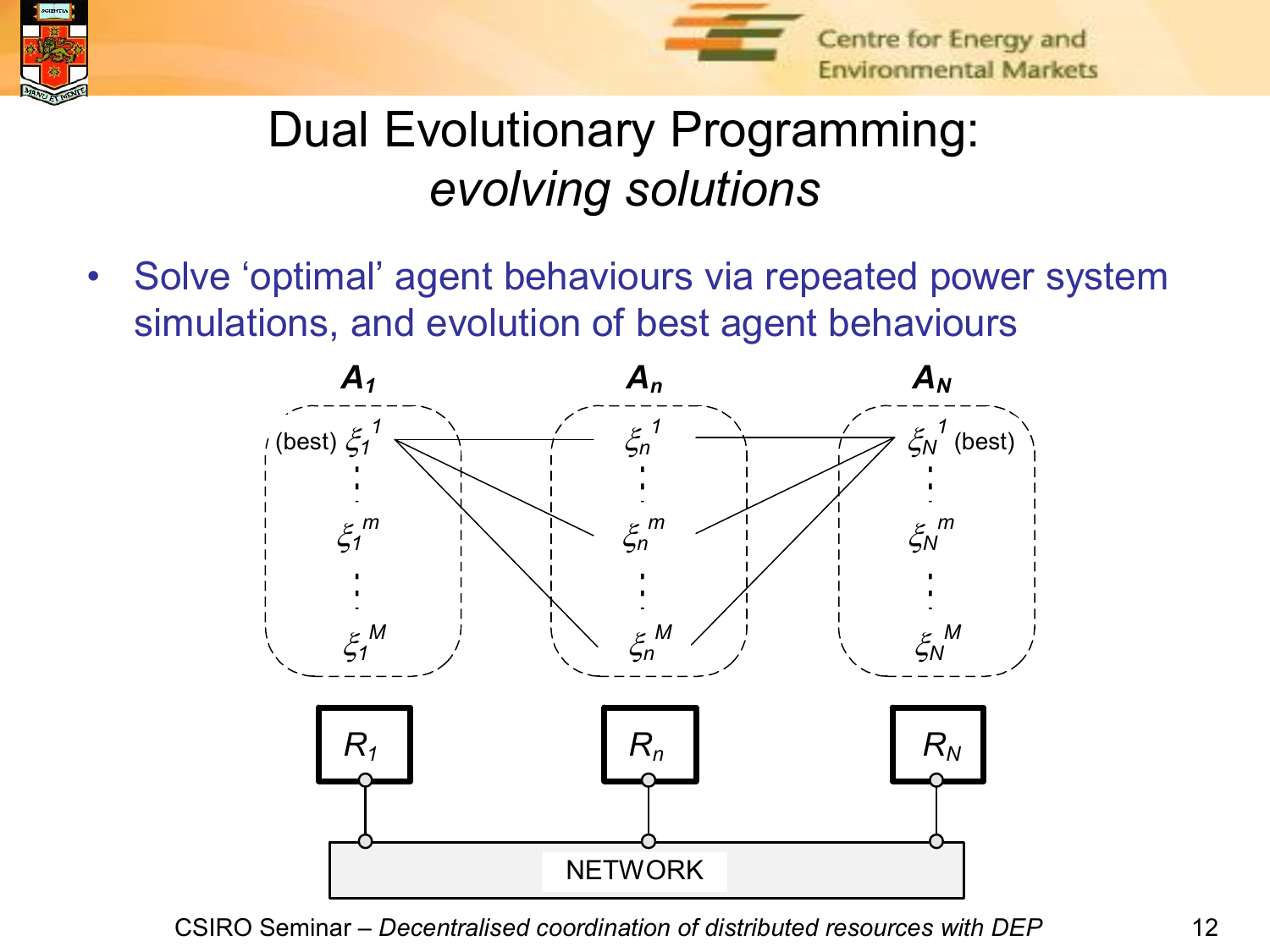



#### Dual Evolutionary Programming: *evolving solutions*

• Solve 'optimal' agent behaviours via repeated power system simulations, and evolution of best agent behaviours

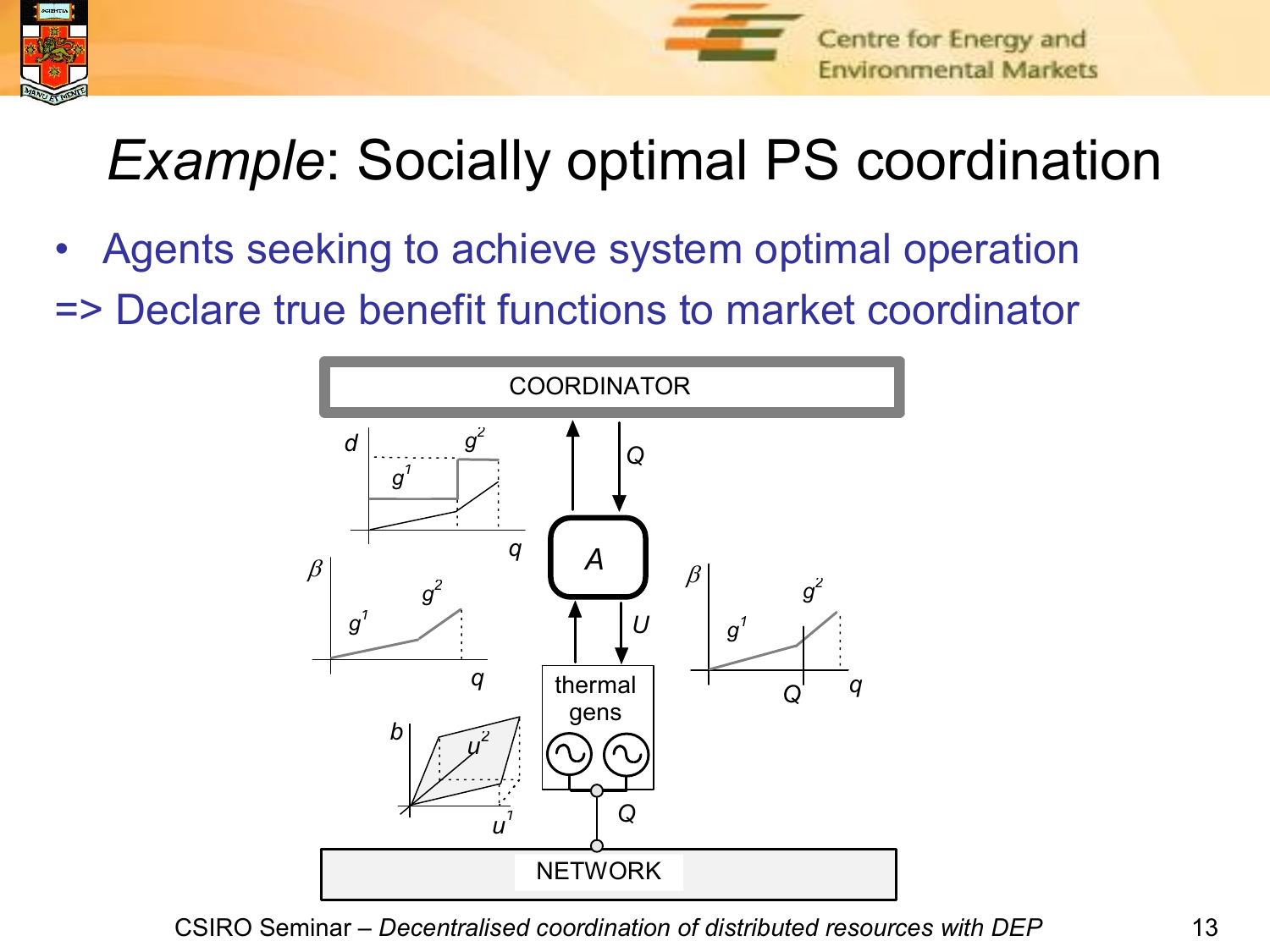



# *Example:* Socially optimal PS coordination

- Agents seeking to achieve system optimal operation
- => Declare true benefit functions to market coordinator

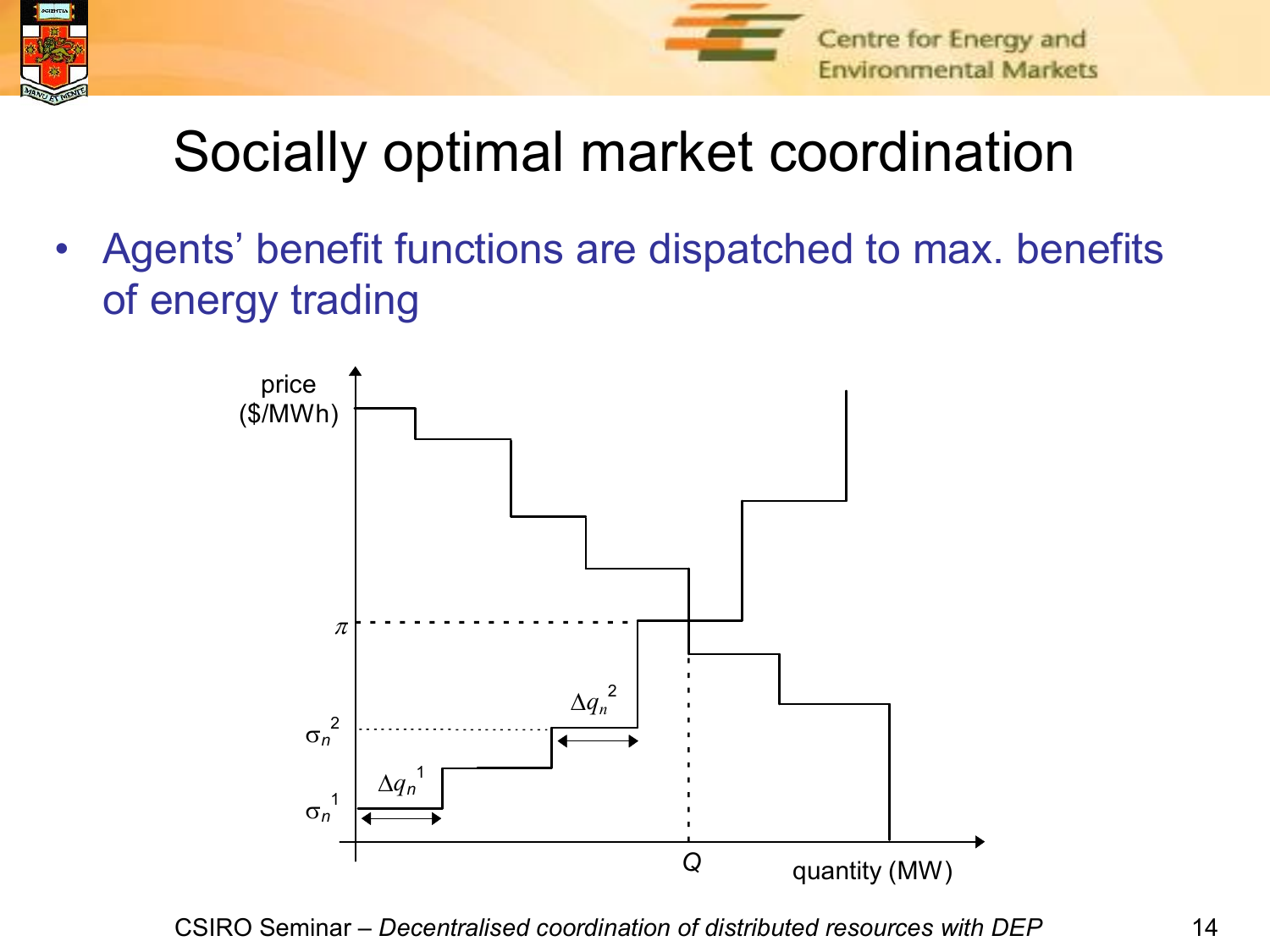



# Socially optimal market coordination

• Agents' benefit functions are dispatched to max. benefits of energy trading

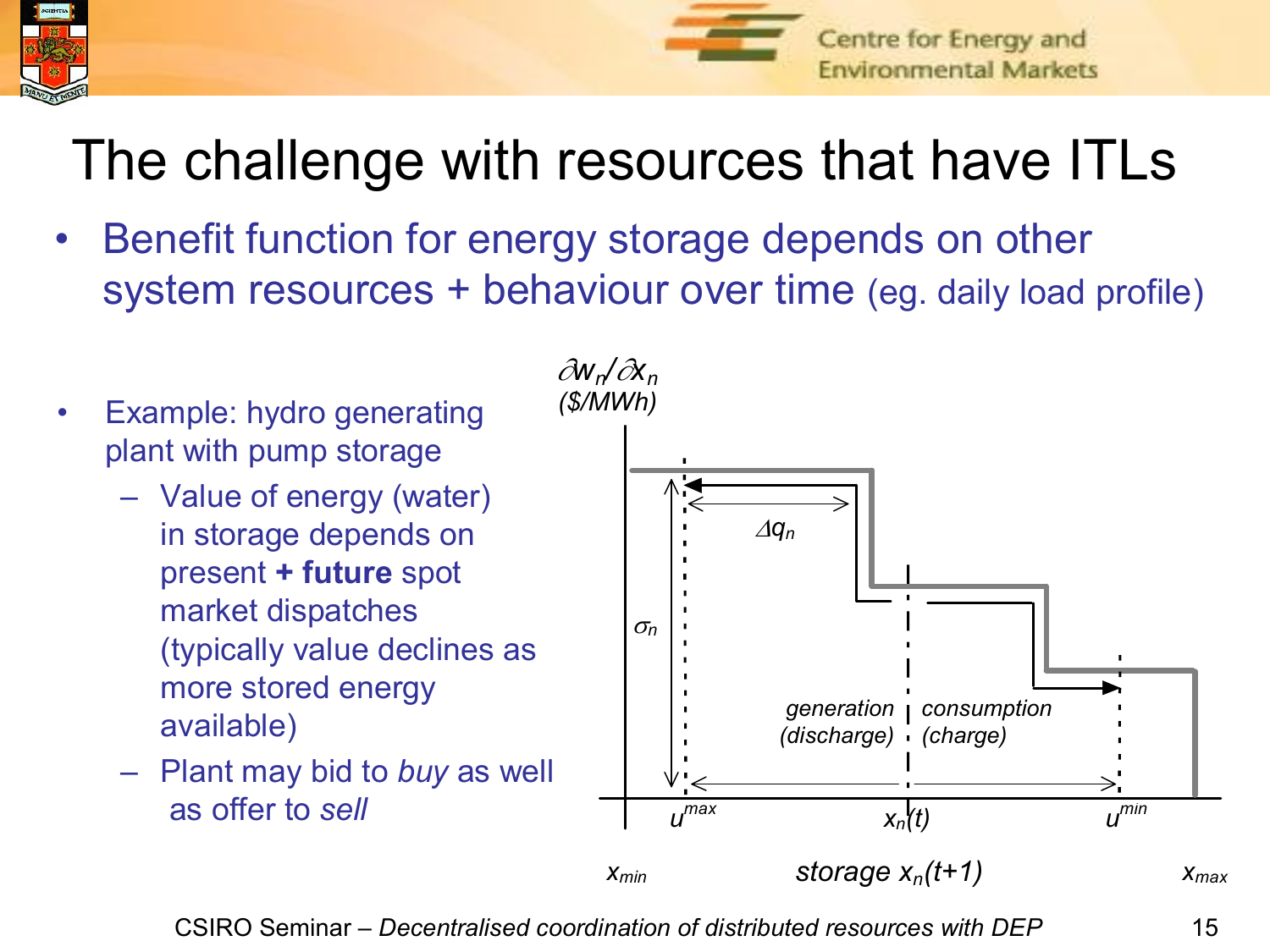



## The challenge with resources that have ITLs

- Benefit function for energy storage depends on other system resources + behaviour over time (eg. daily load profile)
- Example: hydro generating plant with pump storage
	- Value of energy (water) in storage depends on present **+ future** spot market dispatches (typically value declines as more stored energy available)
	- Plant may bid to *buy* as well as offer to *sell*



CSIRO Seminar – *Decentralised coordination of distributed resources with DEP* 15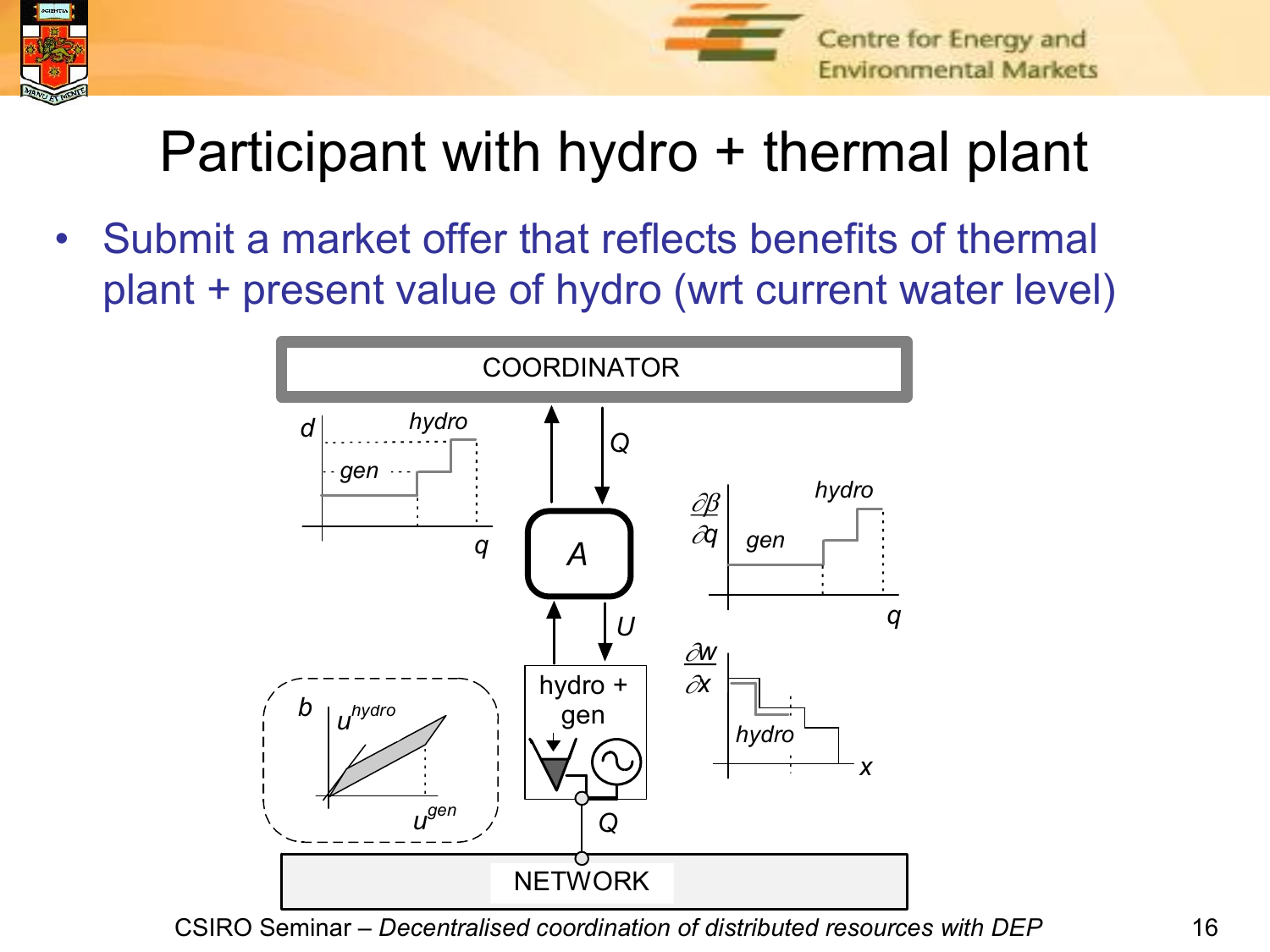



# Participant with hydro + thermal plant

• Submit a market offer that reflects benefits of thermal plant + present value of hydro (wrt current water level)

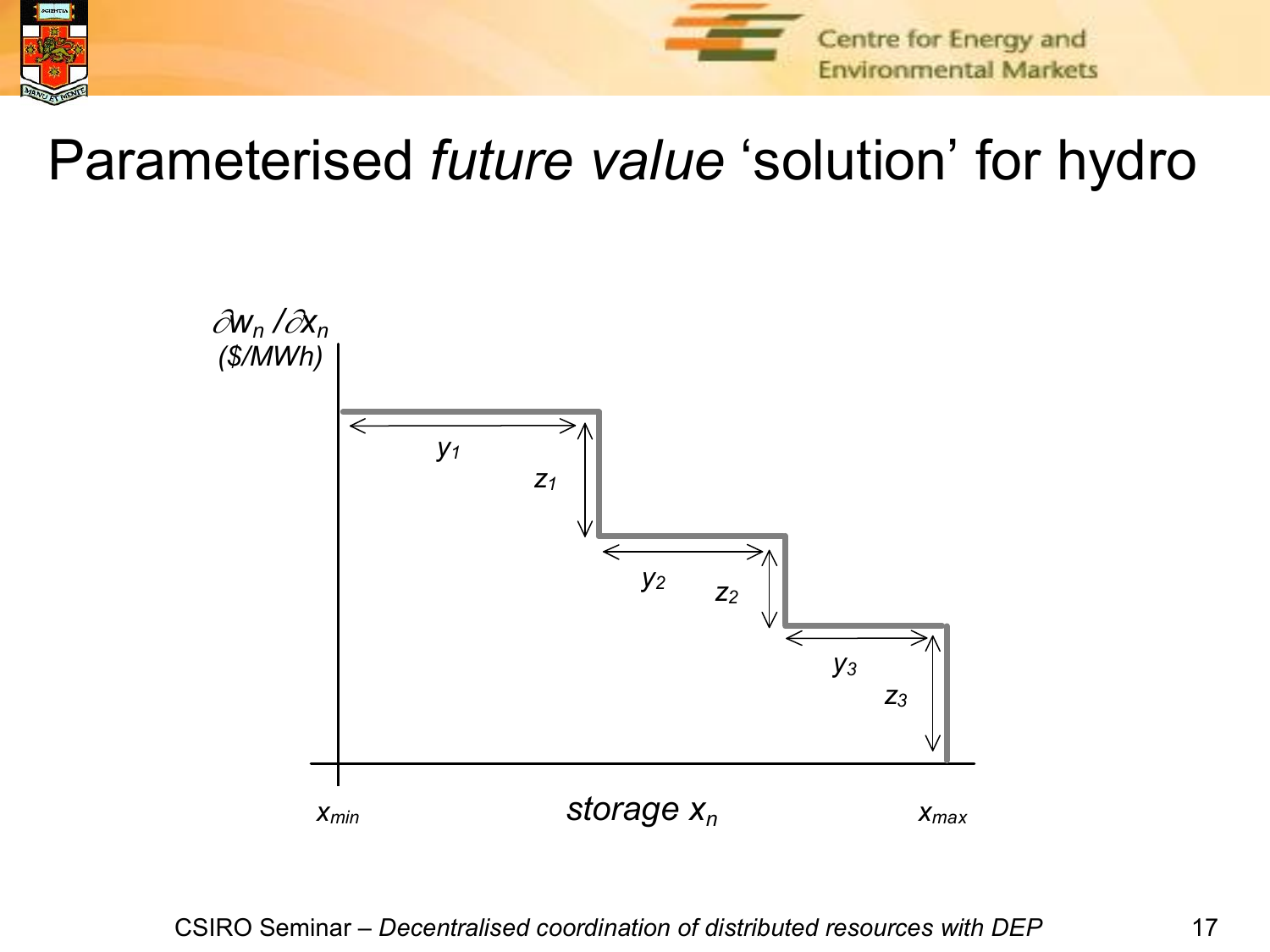



#### Parameterised *future value* 'solution' for hydro

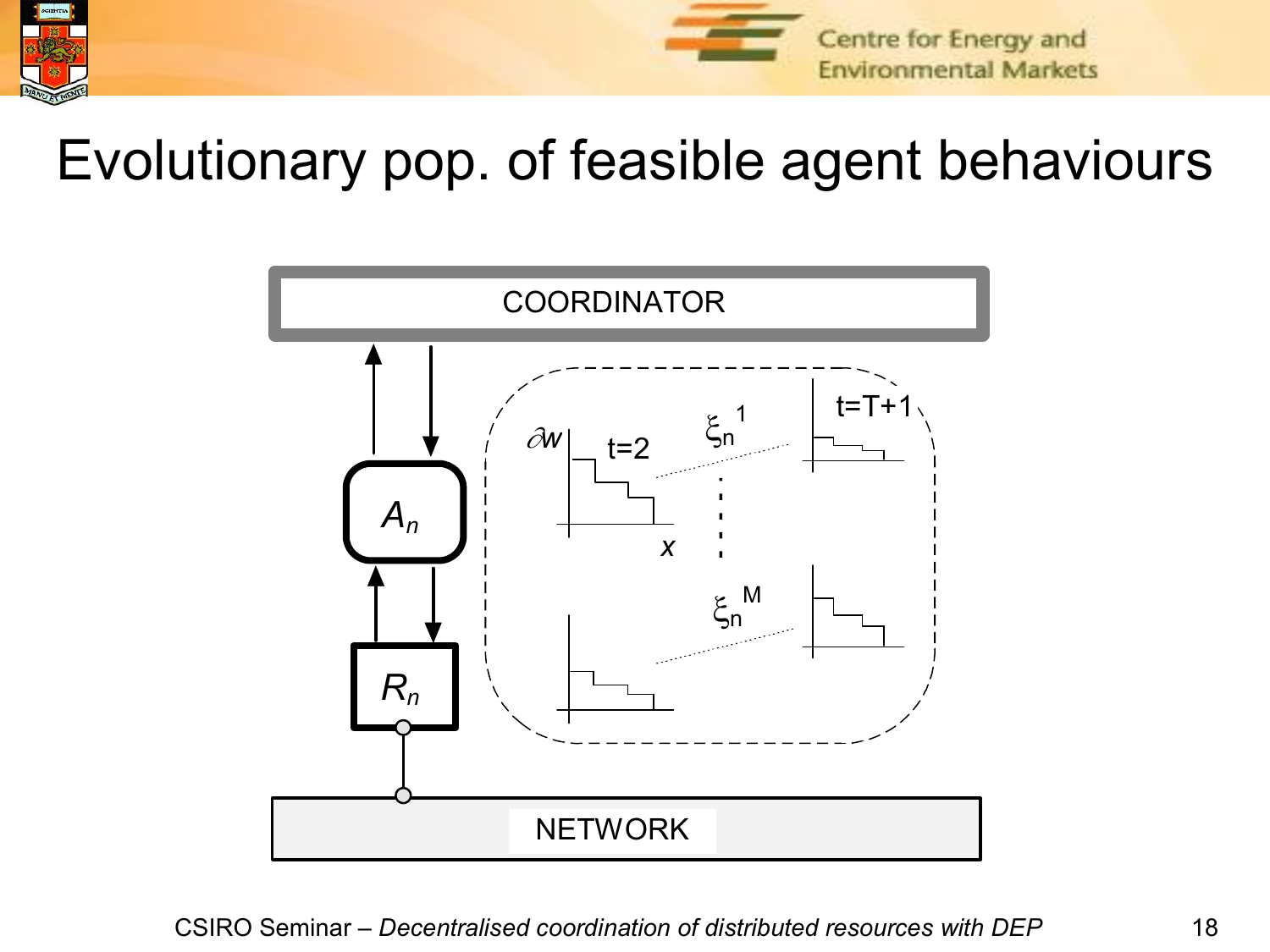



#### Evolutionary pop. of feasible agent behaviours

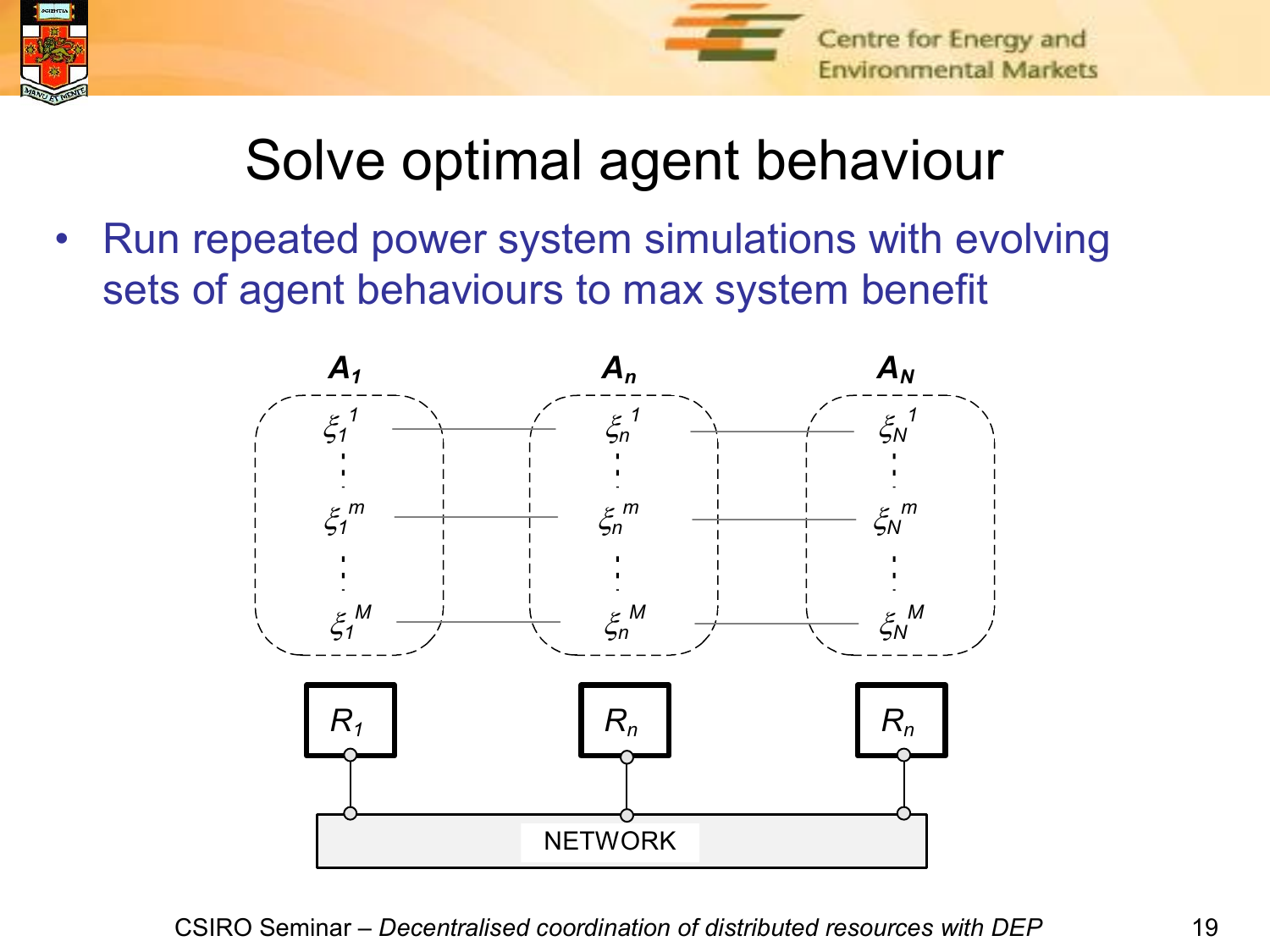



## Solve optimal agent behaviour

• Run repeated power system simulations with evolving sets of agent behaviours to max system benefit

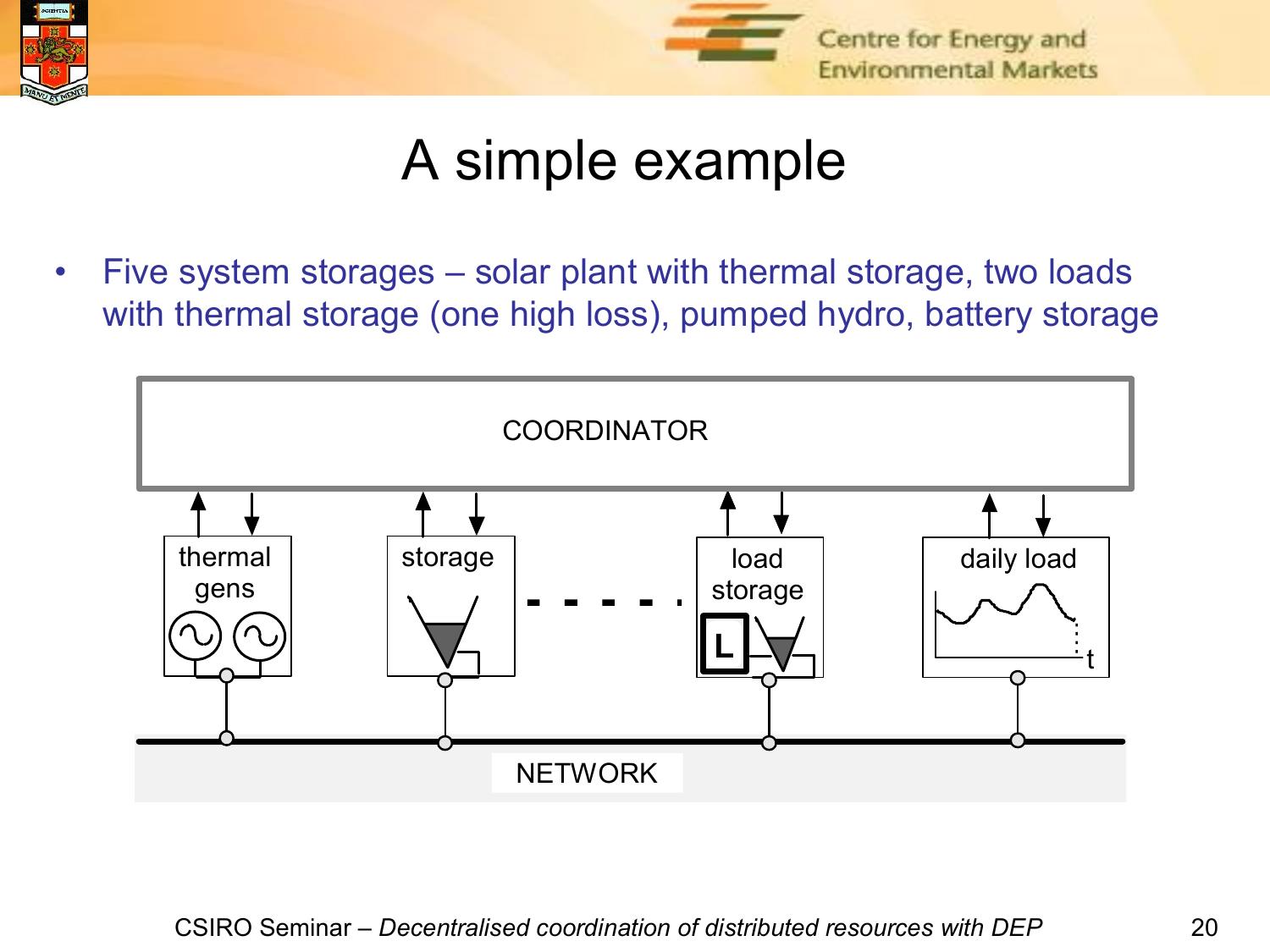



#### A simple example

• Five system storages – solar plant with thermal storage, two loads with thermal storage (one high loss), pumped hydro, battery storage

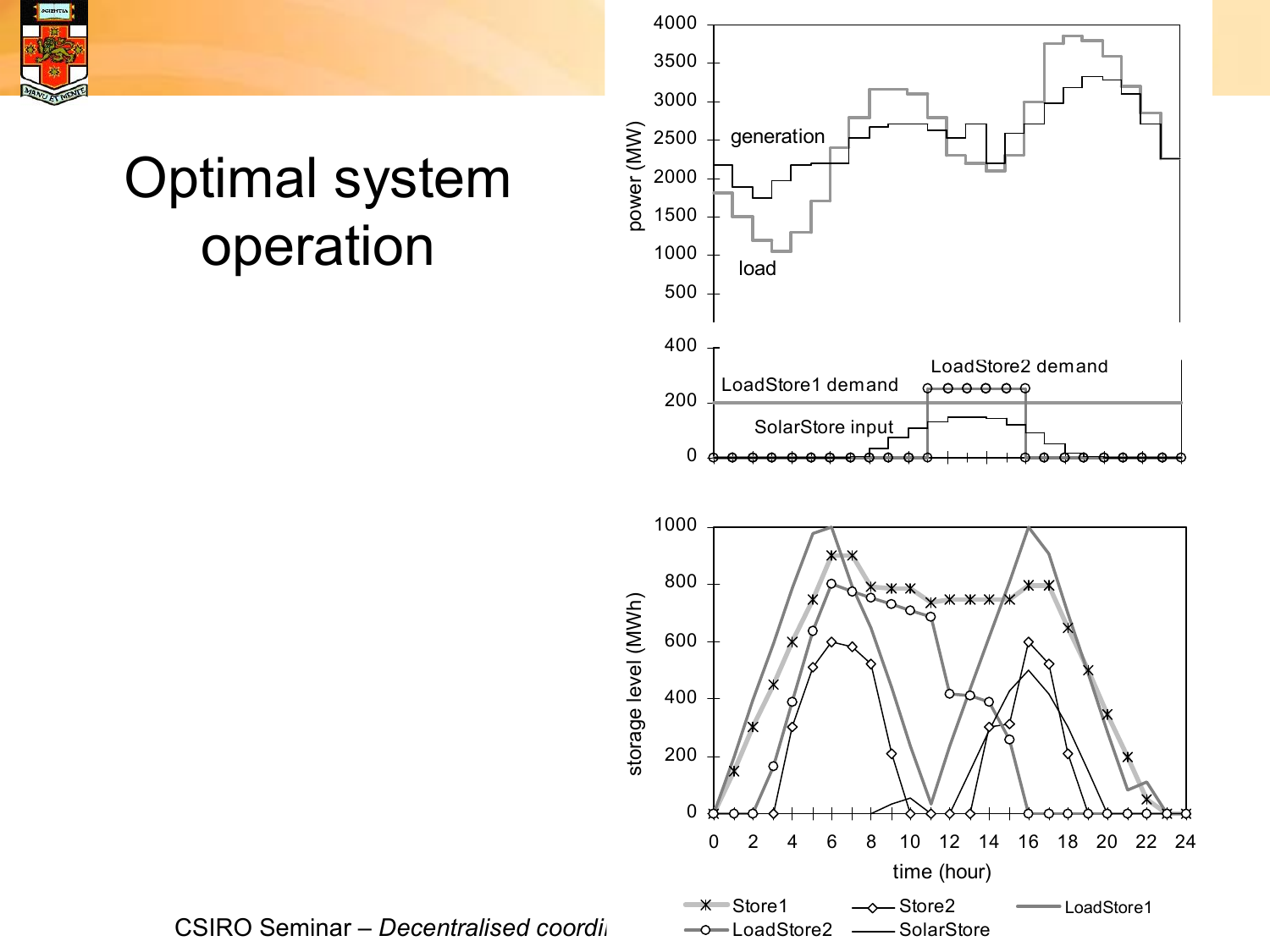

## Optimal system operation



CSIRO Seminar – *Decentralised coordination*  $\rightarrow$  -0-LoadStore2 *are also distores*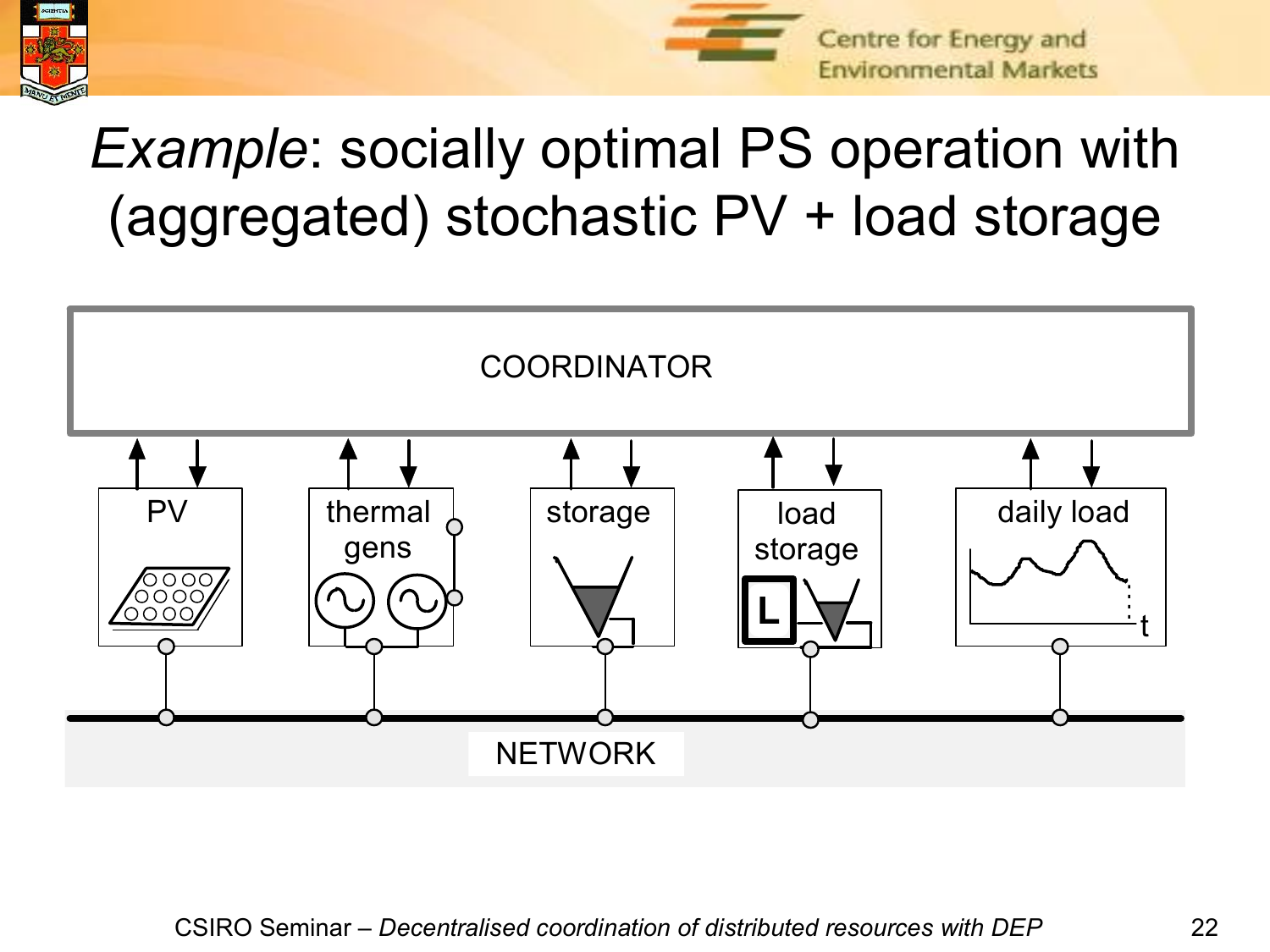



# *Example*: socially optimal PS operation with (aggregated) stochastic PV + load storage

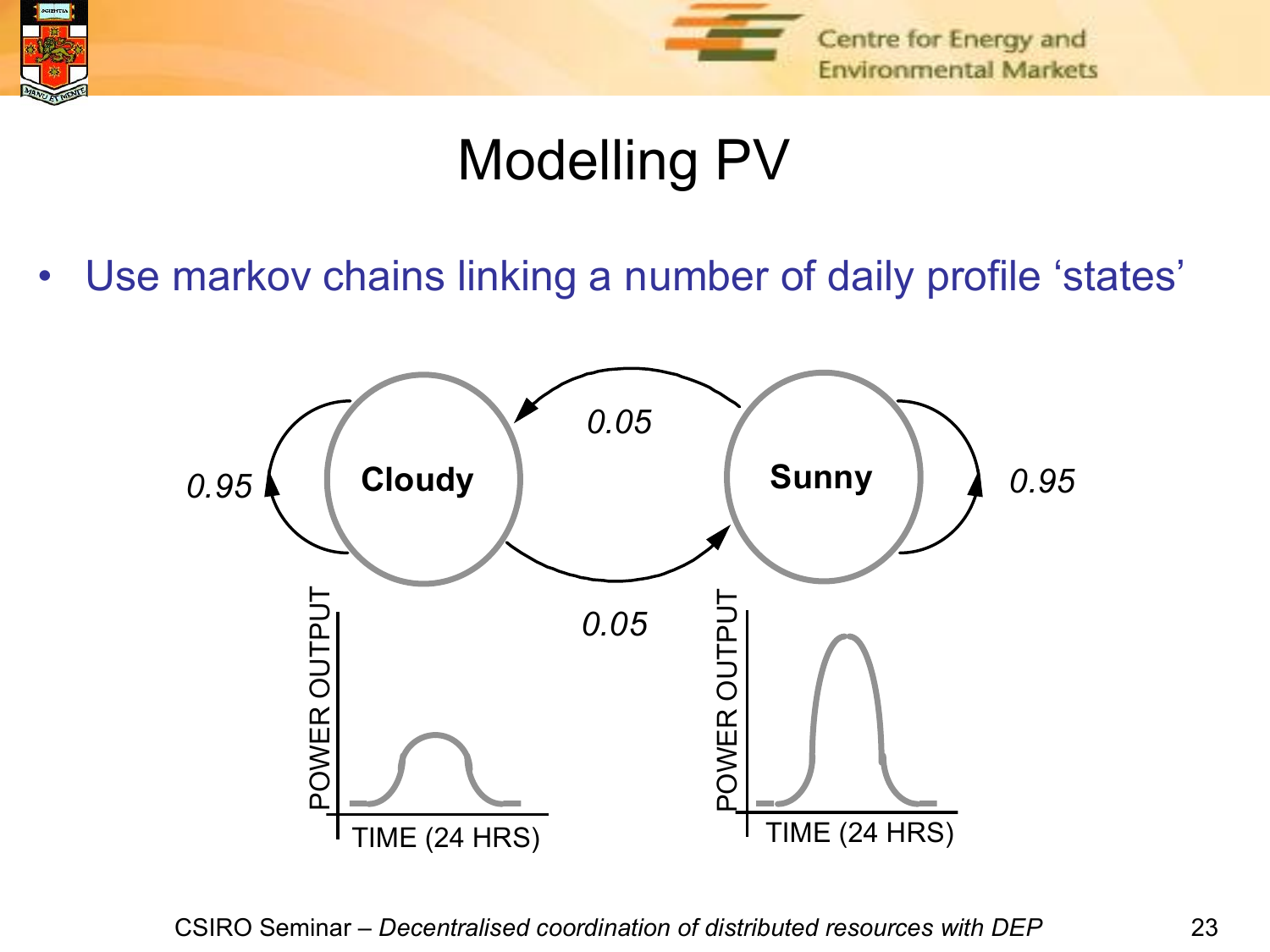

## Modelling PV

• Use markov chains linking a number of daily profile 'states'

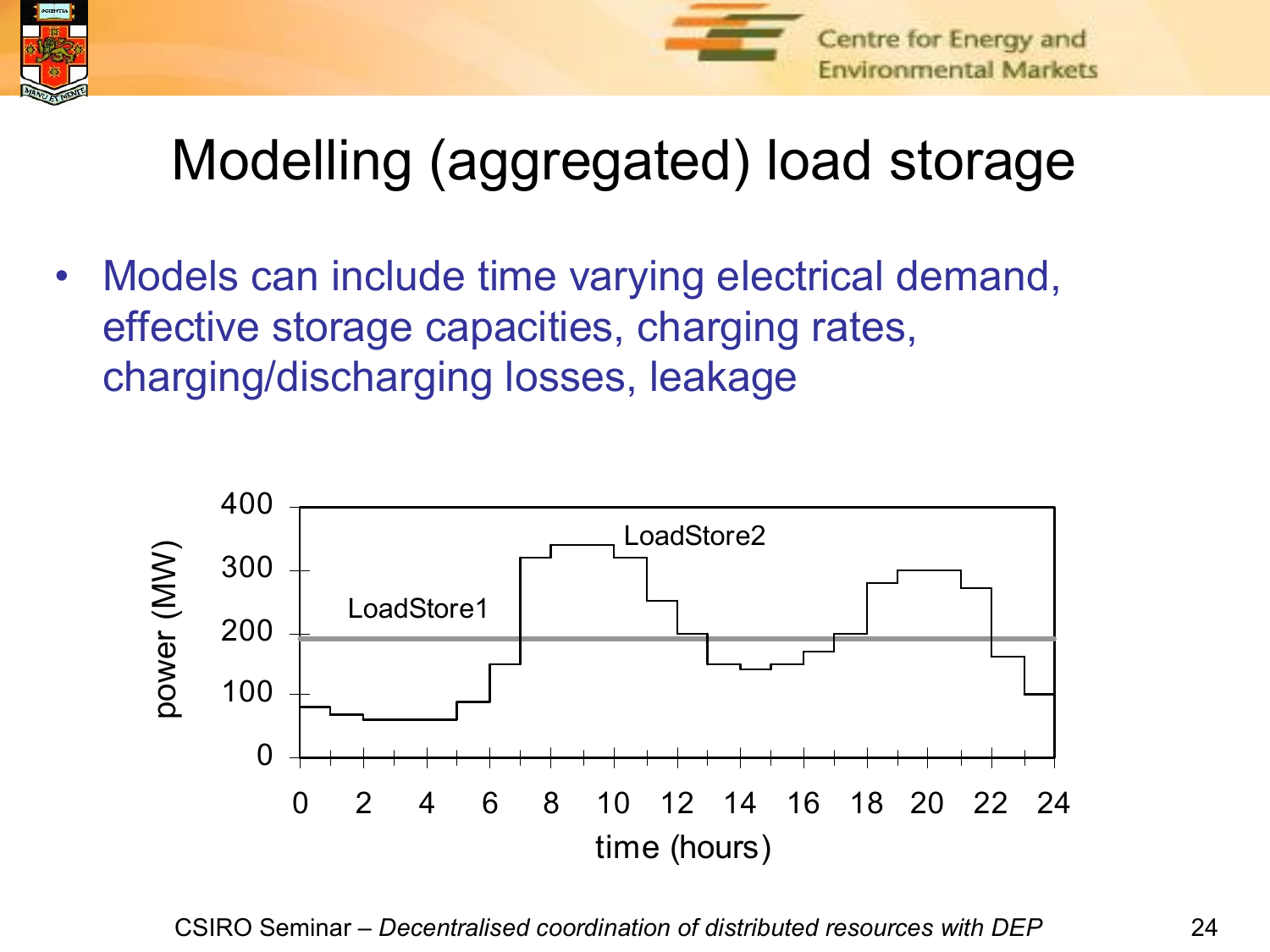



# Modelling (aggregated) load storage

• Models can include time varying electrical demand, effective storage capacities, charging rates, charging/discharging losses, leakage

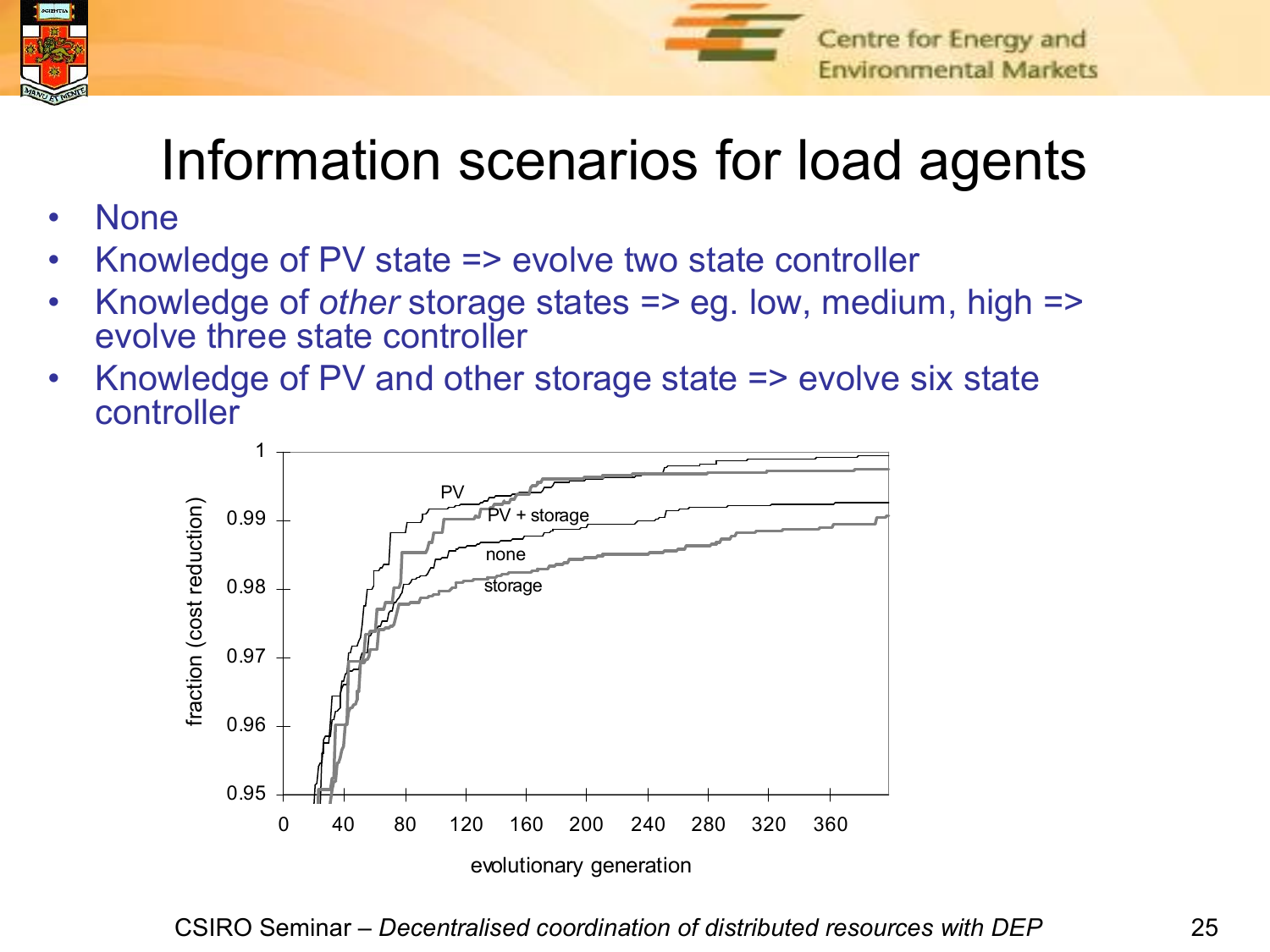



## Information scenarios for load agents

- None
- Knowledge of PV state => evolve two state controller
- Knowledge of *other* storage states => eg. low, medium, high => evolve three state controller
- Knowledge of PV and other storage state => evolve six state controller

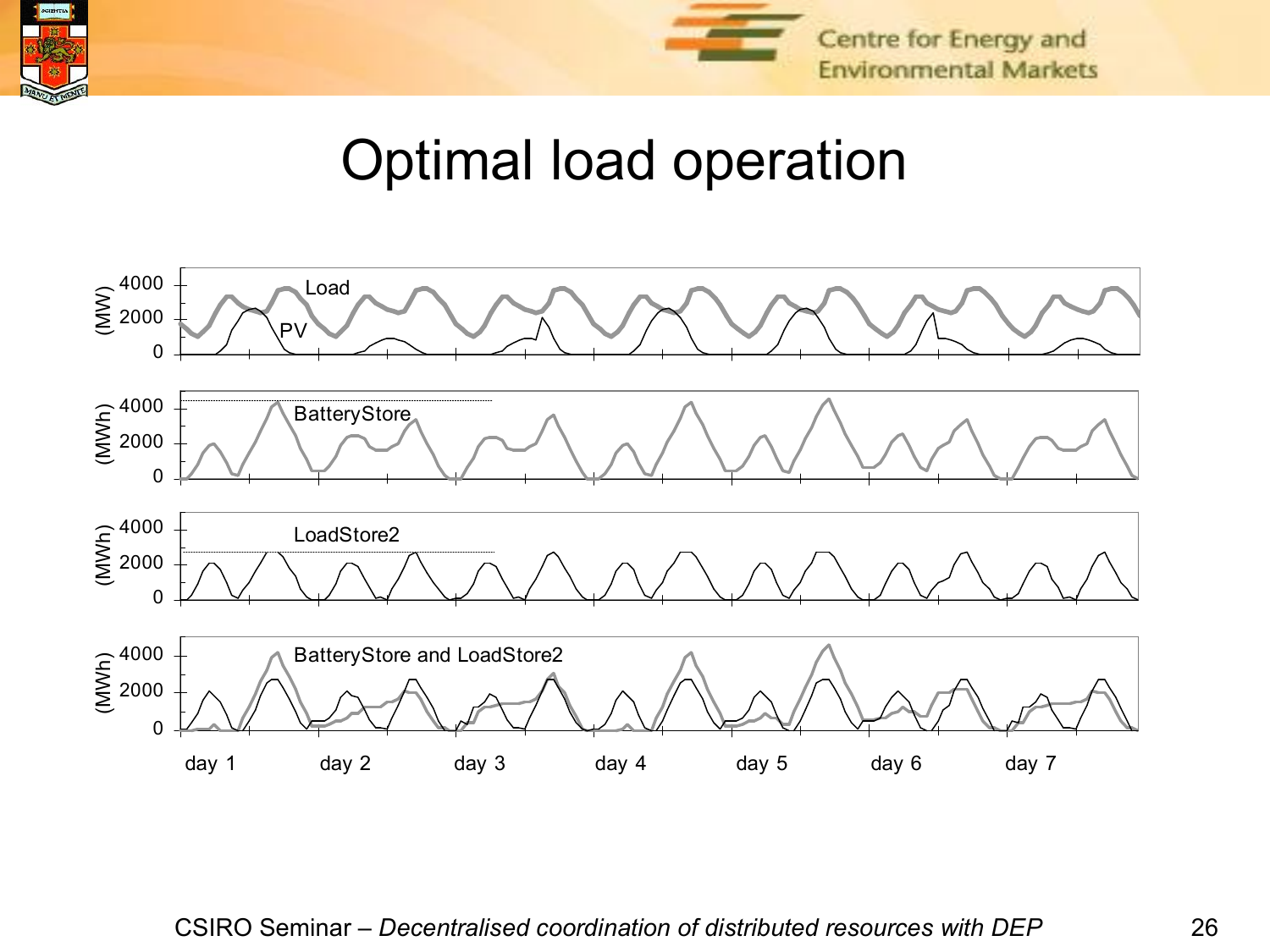



#### Optimal load operation

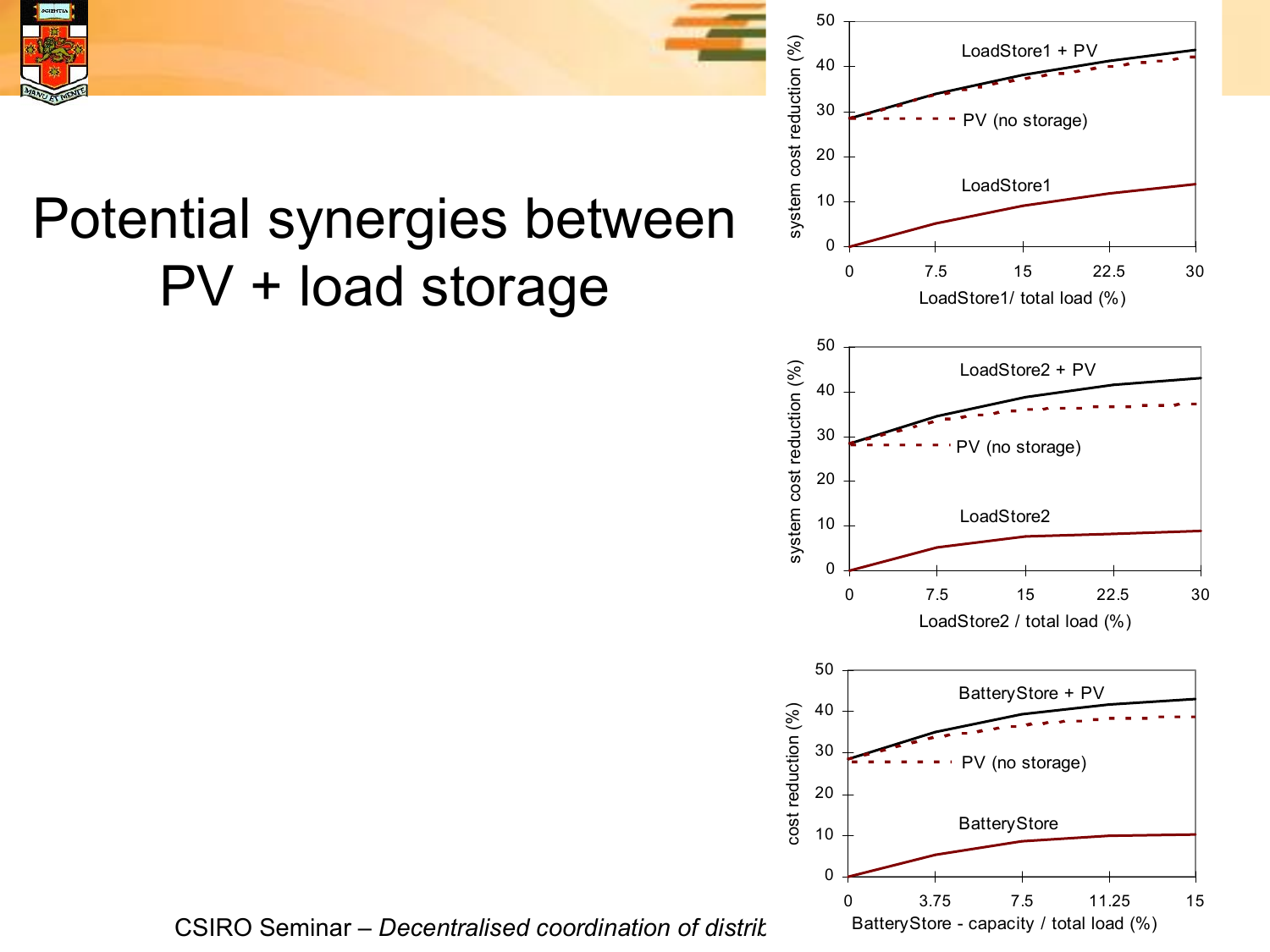

# Potential synergies between PV + load storage



0 3.75 7.5 11.25 15

BatteryStore - capacity / total load (%)

CSIRO Seminar – *Decentralised coordination of distritation*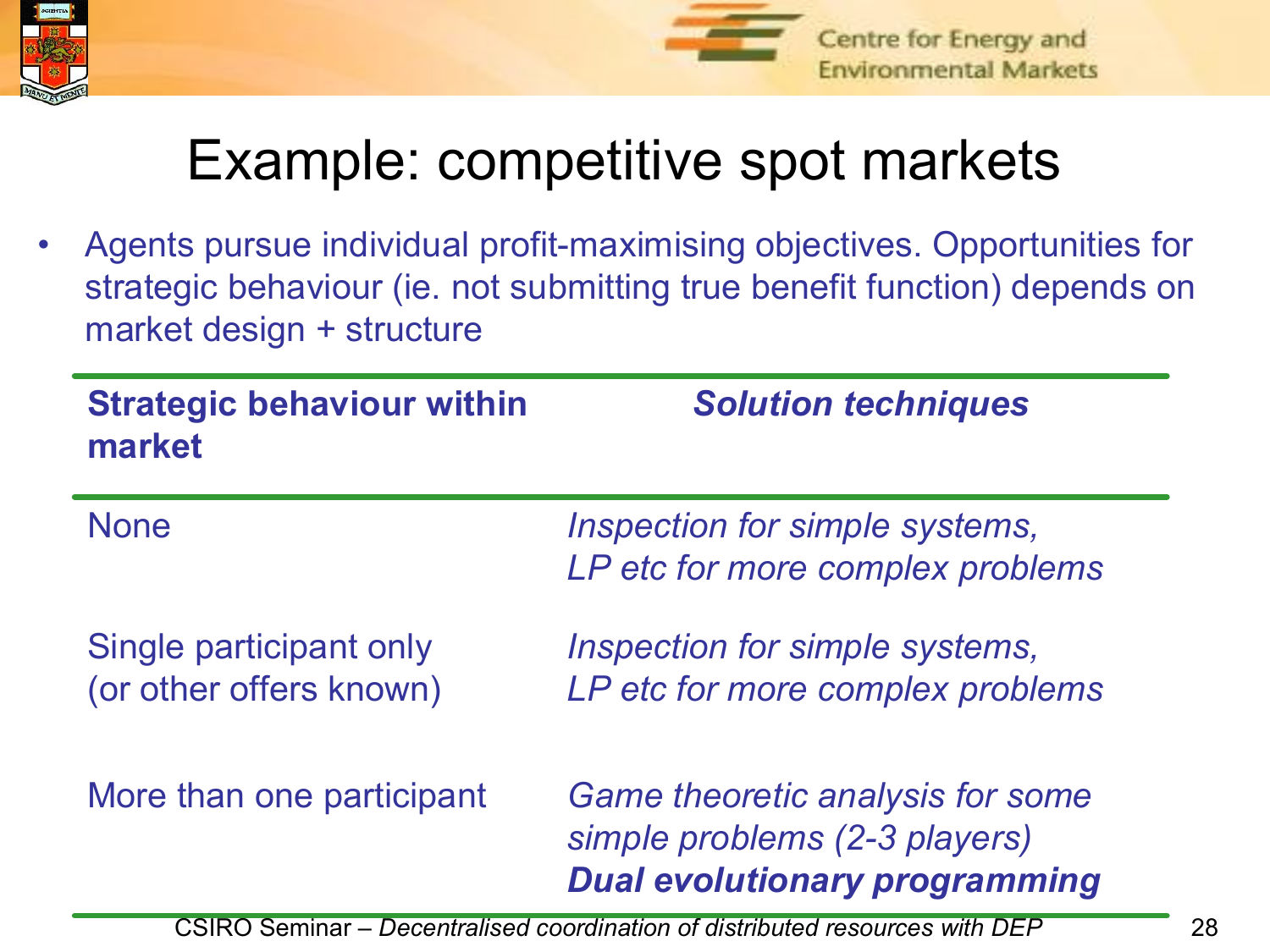



#### Example: competitive spot markets

Agents pursue individual profit-maximising objectives. Opportunities for strategic behaviour (ie. not submitting true benefit function) depends on market design + structure

| <b>Strategic behaviour within</b><br>market        | <b>Solution techniques</b>                                                                                |
|----------------------------------------------------|-----------------------------------------------------------------------------------------------------------|
| <b>None</b>                                        | Inspection for simple systems,<br>LP etc for more complex problems                                        |
| Single participant only<br>(or other offers known) | Inspection for simple systems,<br>LP etc for more complex problems                                        |
| More than one participant                          | Game theoretic analysis for some<br>simple problems (2-3 players)<br><b>Dual evolutionary programming</b> |

CSIRO Seminar – *Decentralised coordination of distributed resources with DEP* 28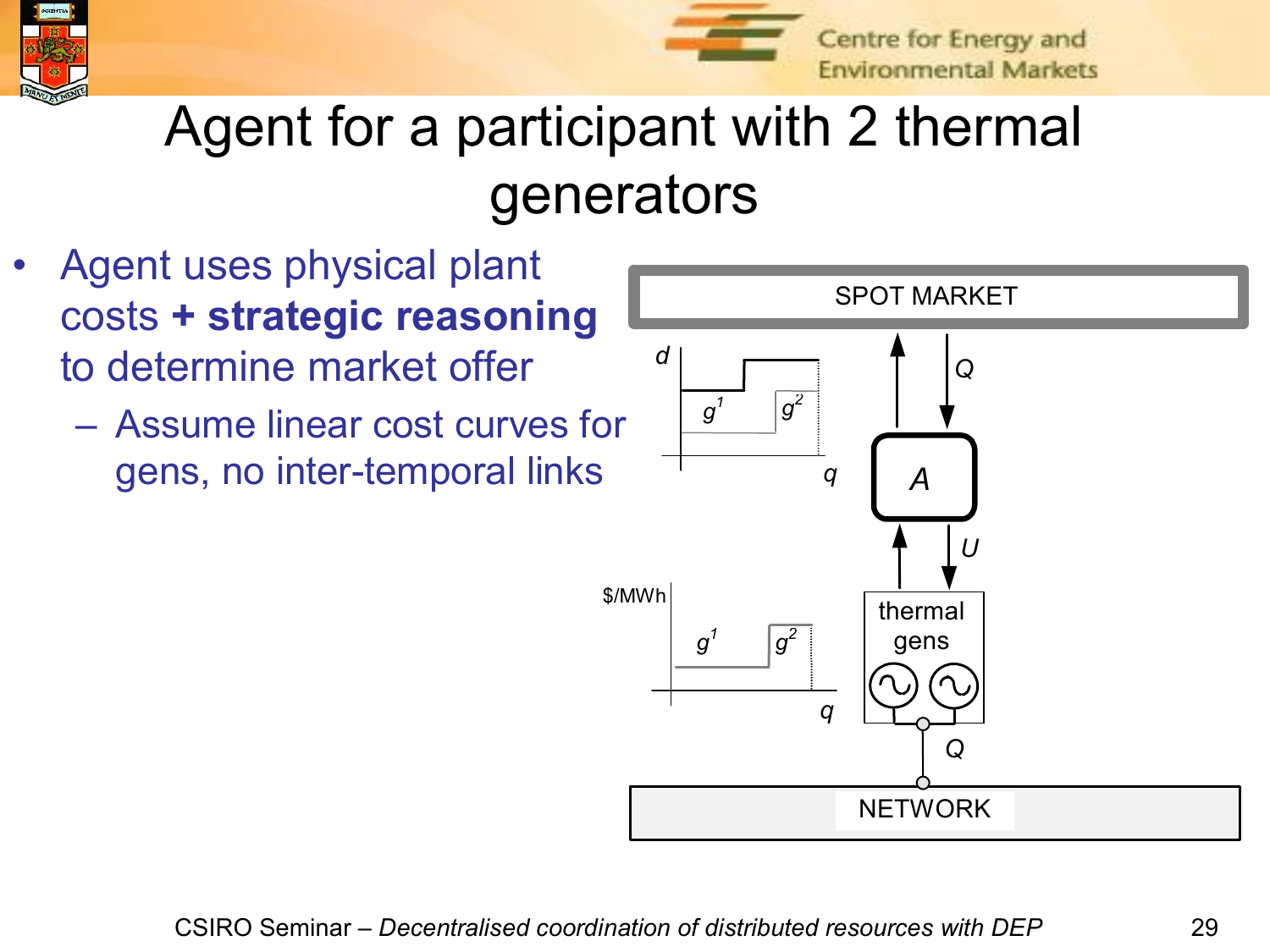



Centre for Energy and **Environmental Markets** 

# Agent for a participant with 2 thermal generators

- Agent uses physical plant costs **+ strategic reasoning** to determine market offer
	- Assume linear cost curves for gens, no inter-temporal links

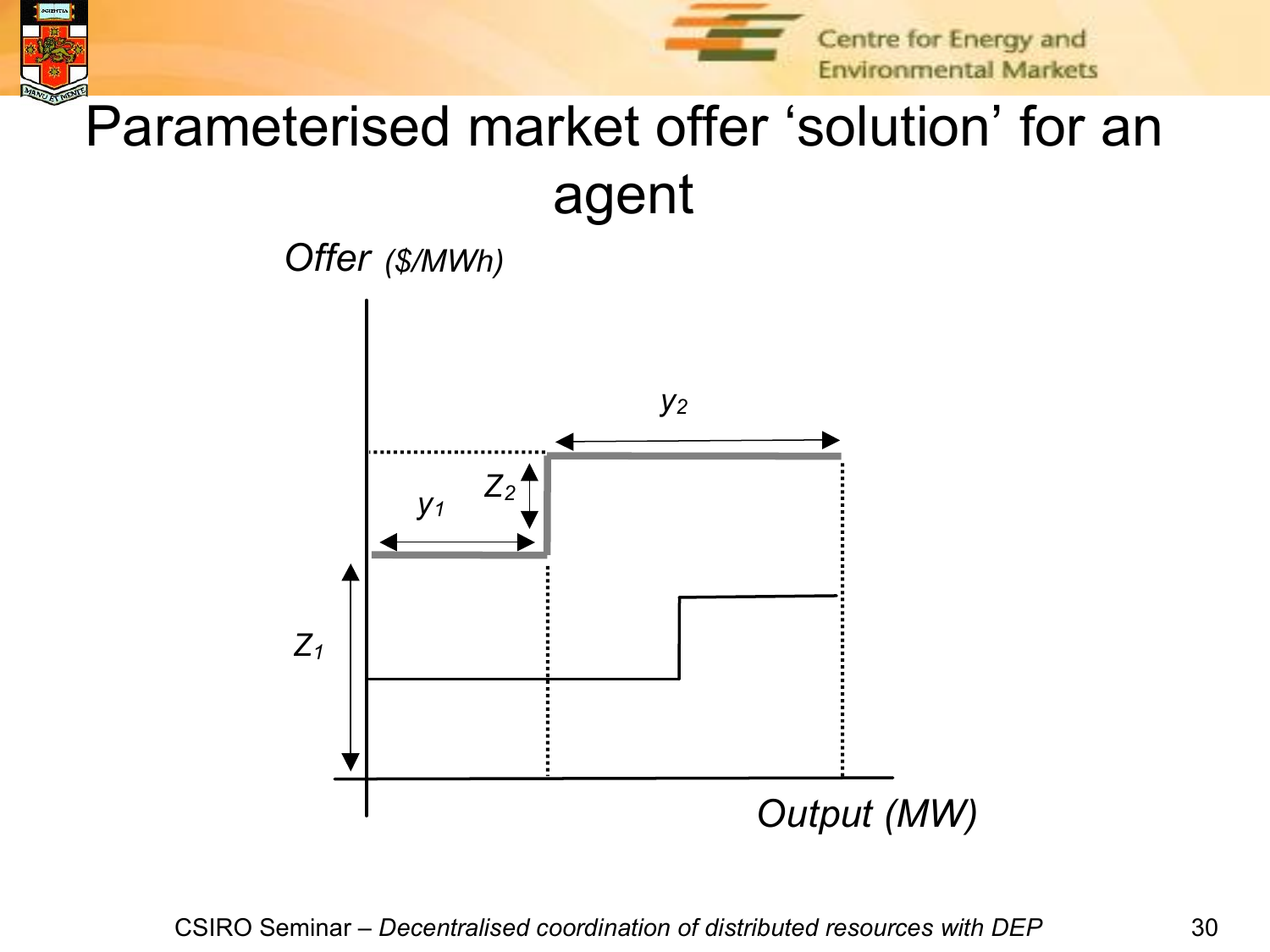

# Parameterised market offer 'solution' for an agent

*Offer (\$/MWh)*

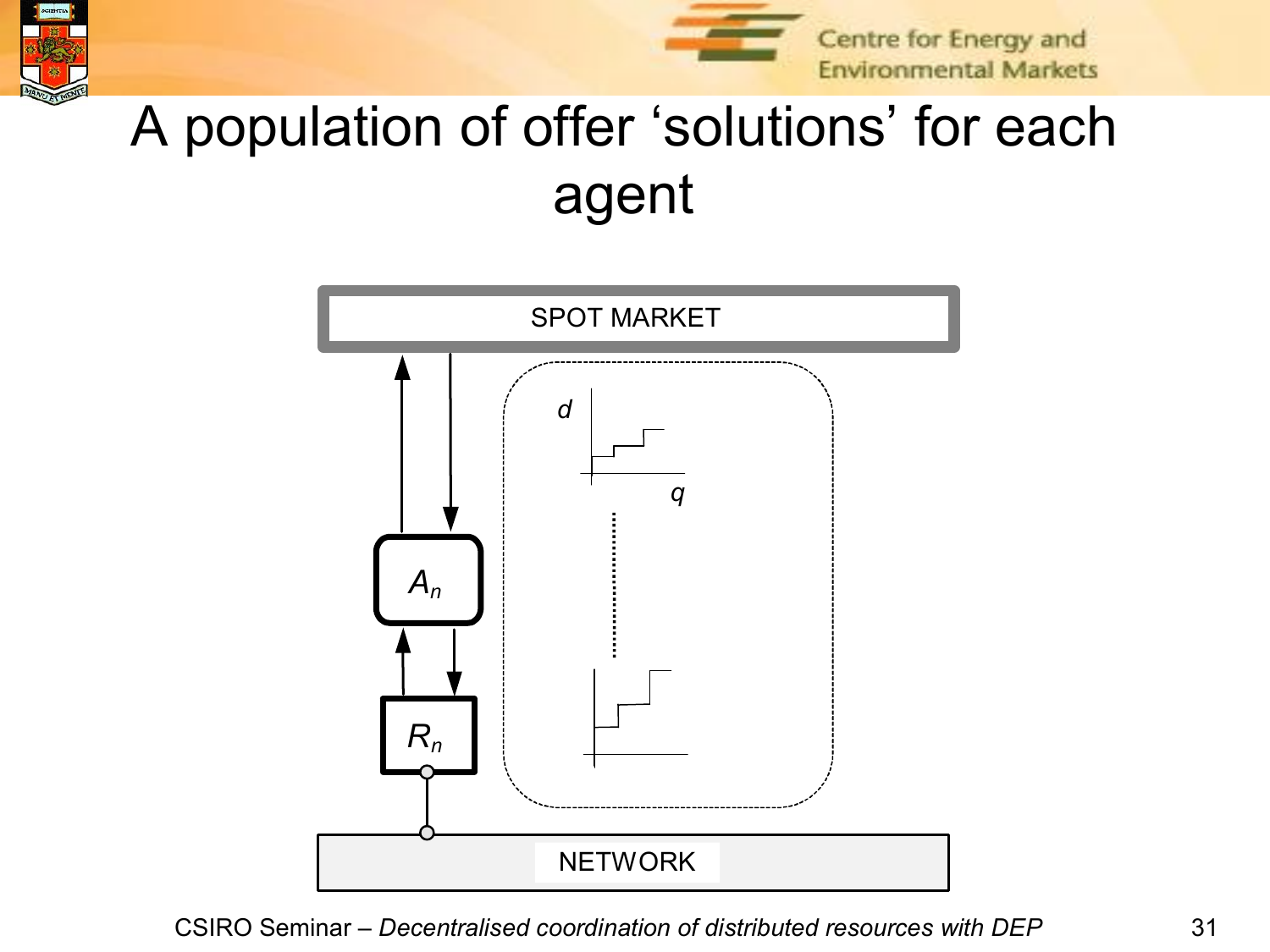



Centre for Energy and **Environmental Markets** 

# A population of offer 'solutions' for each agent

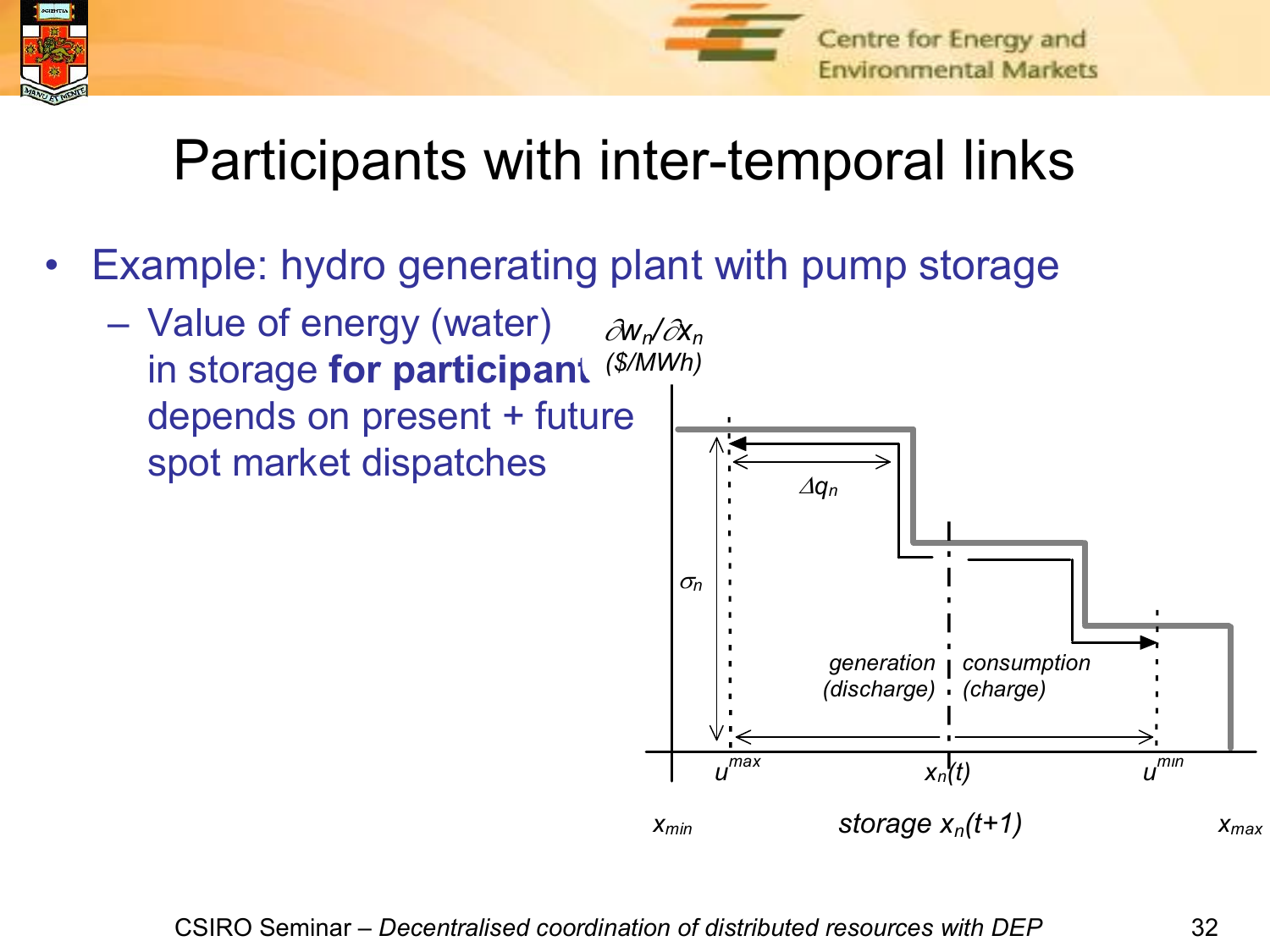



# Participants with inter-temporal links

- Example: hydro generating plant with pump storage
	- Value of energy (water) in storage **for participant** depends on present + future spot market dispatches  $\partial W_n/\partial X_n$ *(\$/MWh)*

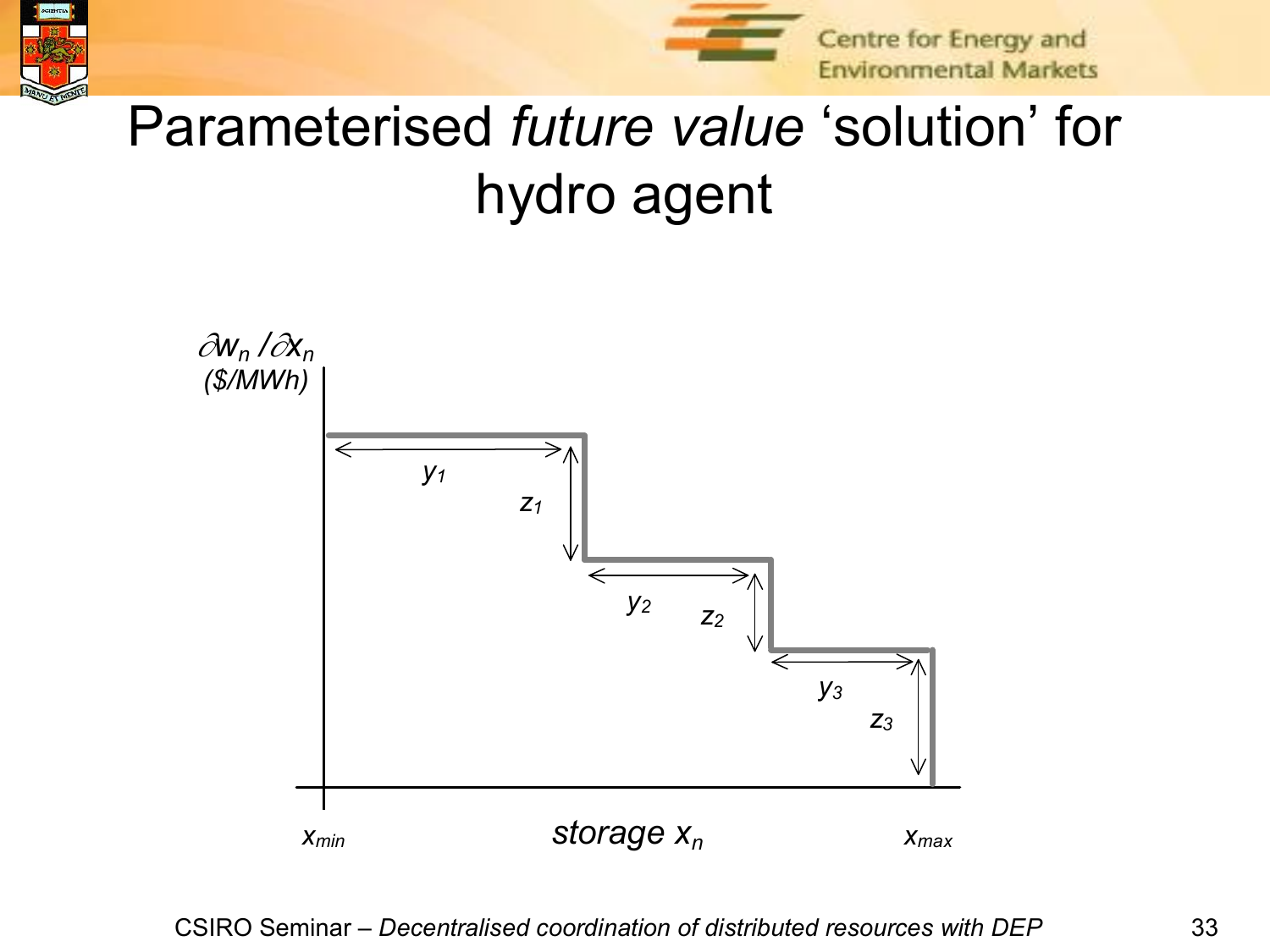



# Parameterised *future value* 'solution' for hydro agent

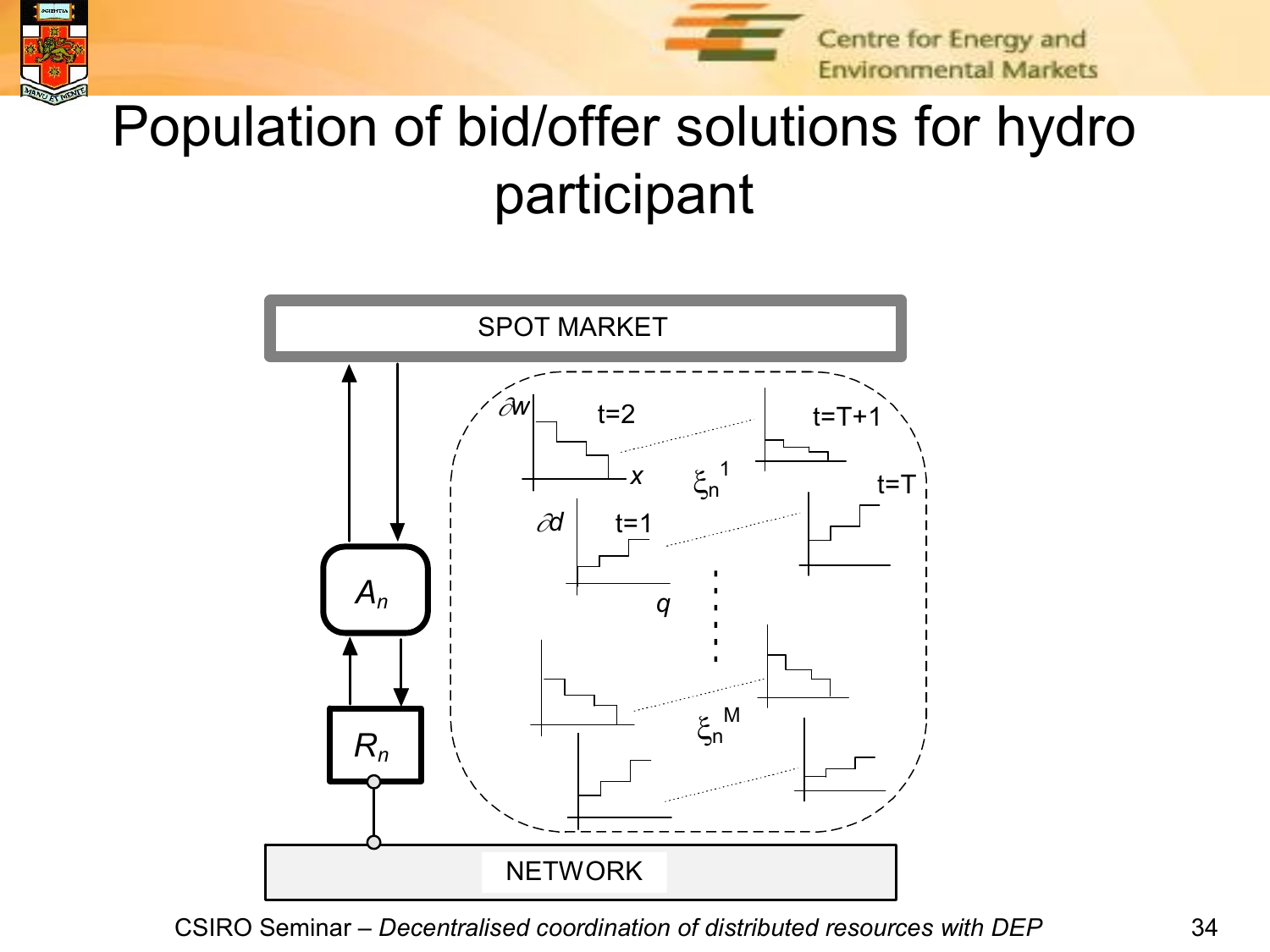Centre for Energy and **Environmental Markets** 



# Population of bid/offer solutions for hydro participant

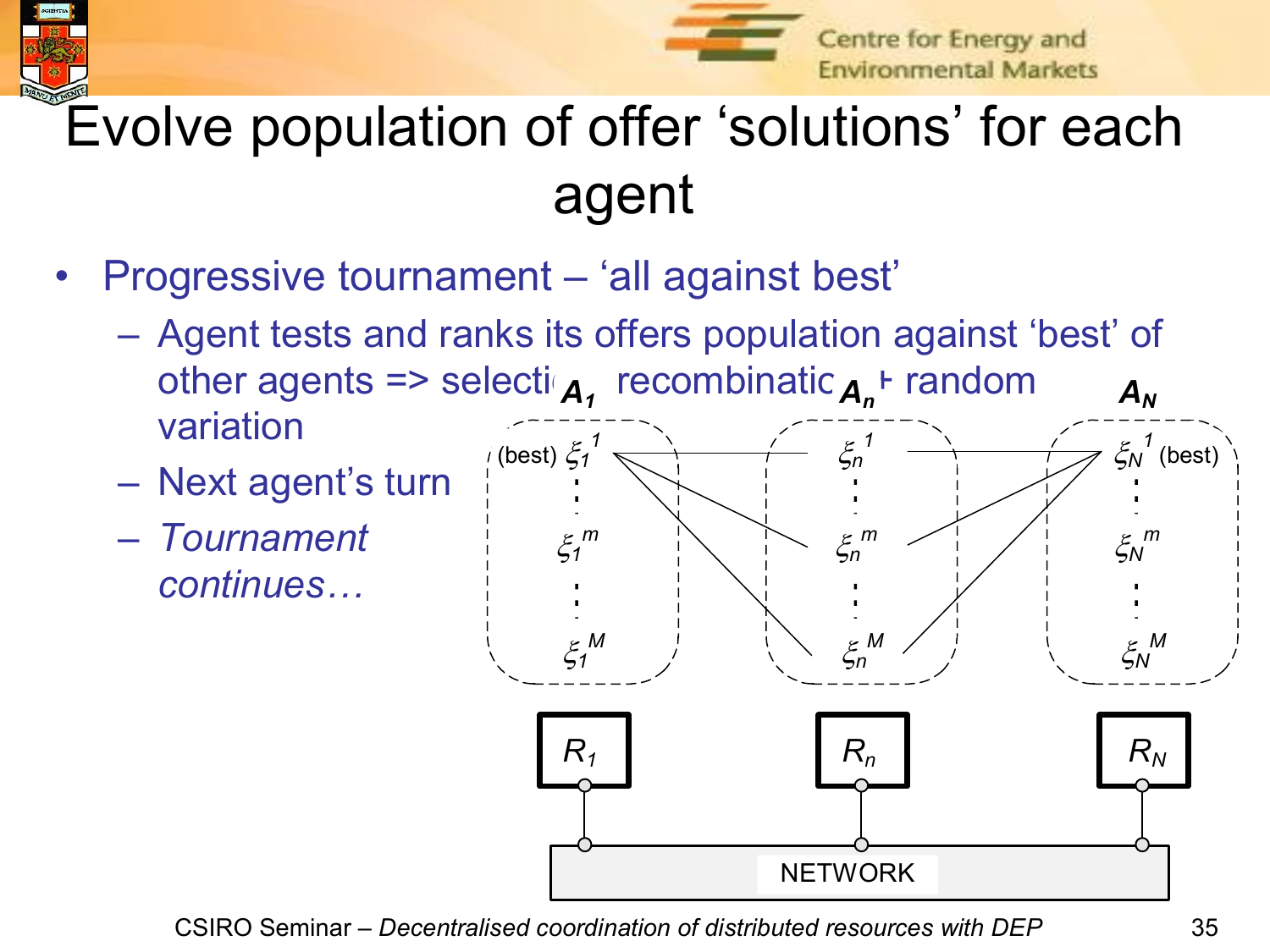



Centre for Energy and **Environmental Markets** 

# Evolve population of offer 'solutions' for each agent

- Progressive tournament 'all against best'
	- Agent tests and ranks its offers population against 'best' of other agents => selecti<sub>A</sub>, recombinatic<sub>An</sub><sup>+</sup> random a variation  $A_N$
	- Next agent's turn
	- *Tournament continues…*

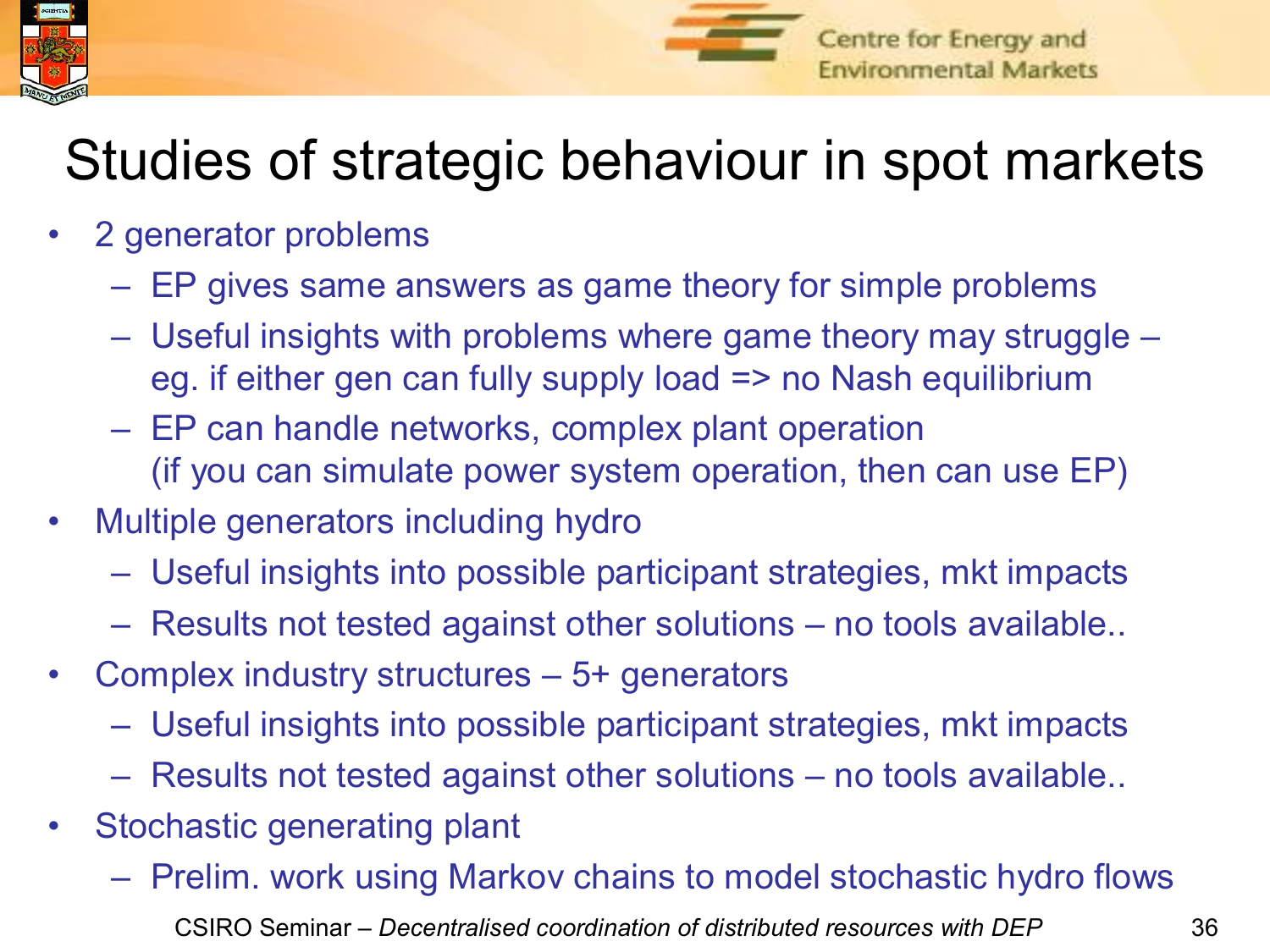



## Studies of strategic behaviour in spot markets

- 2 generator problems
	- EP gives same answers as game theory for simple problems
	- Useful insights with problems where game theory may struggle eg. if either gen can fully supply load => no Nash equilibrium
	- EP can handle networks, complex plant operation (if you can simulate power system operation, then can use EP)
- Multiple generators including hydro
	- Useful insights into possible participant strategies, mkt impacts
	- Results not tested against other solutions no tools available..
- Complex industry structures 5+ generators
	- Useful insights into possible participant strategies, mkt impacts
	- Results not tested against other solutions no tools available..
- Stochastic generating plant
	- CSIRO Seminar – *Decentralised coordination of distributed resources with DEP* 36 – Prelim. work using Markov chains to model stochastic hydro flows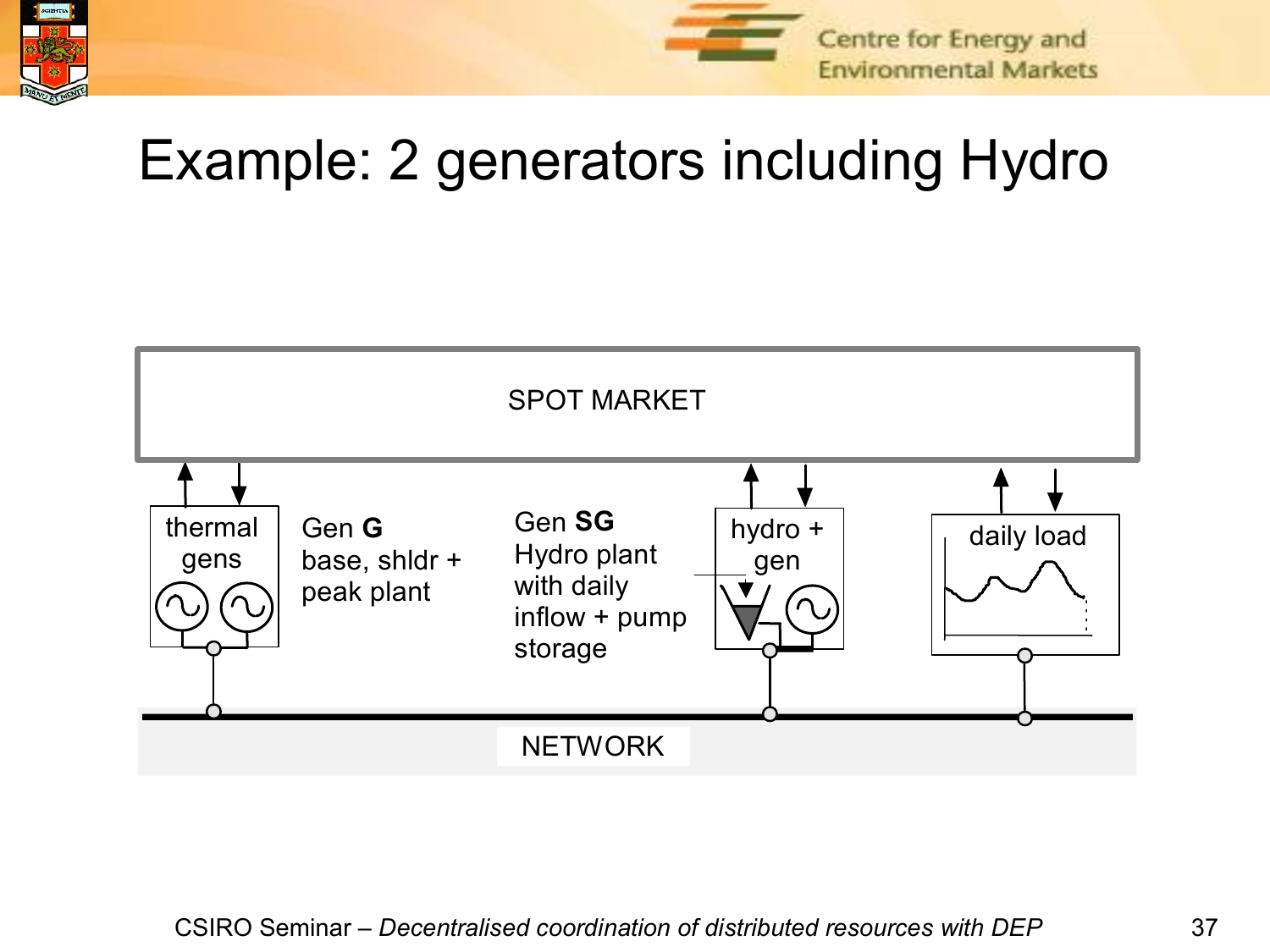



# Example: 2 generators including Hydro

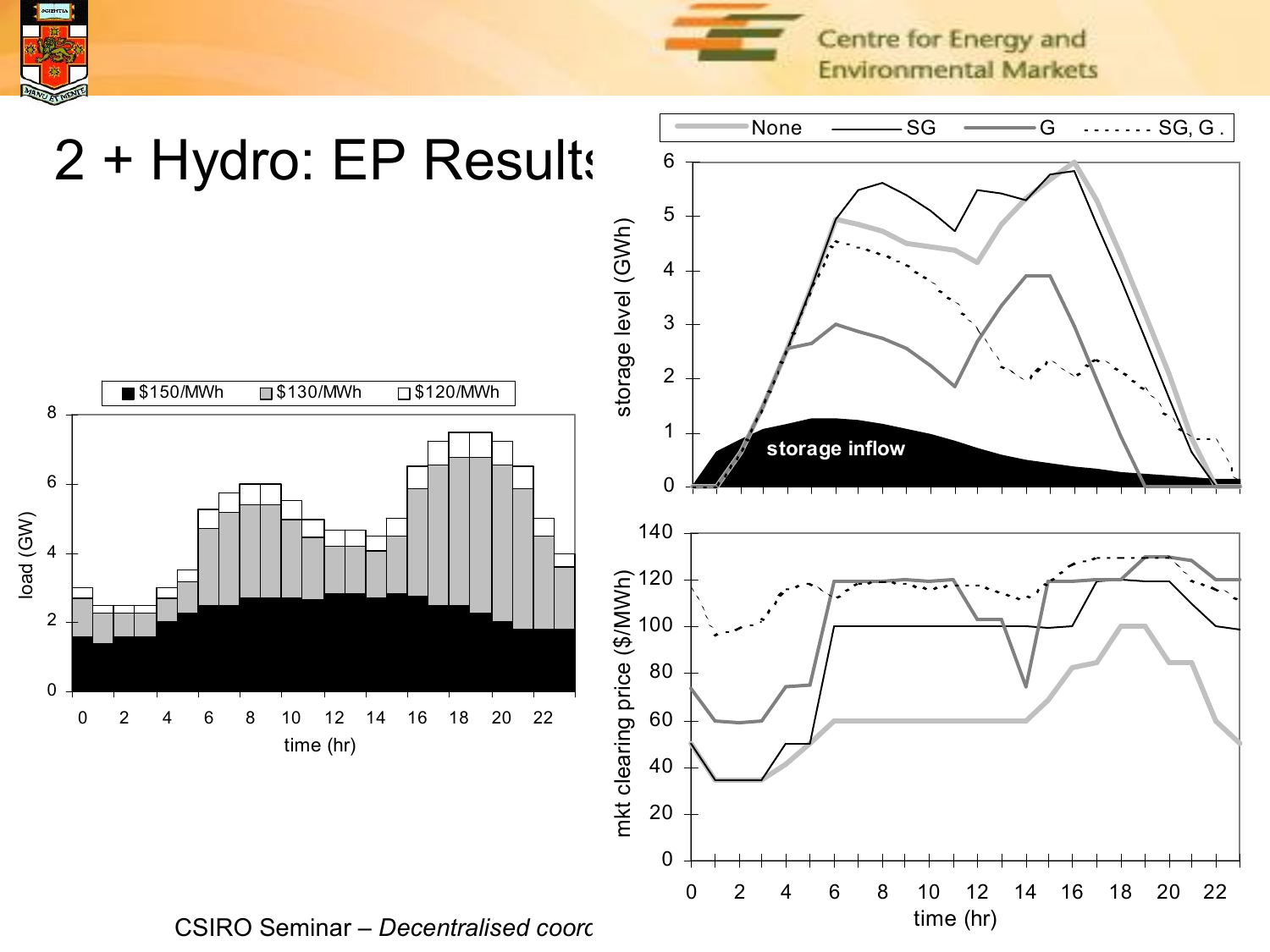

Centre for Energy and **Environmental Markets** 



CSIRO Seminar – *Decentralised coordination of distributed resources with DEP* 38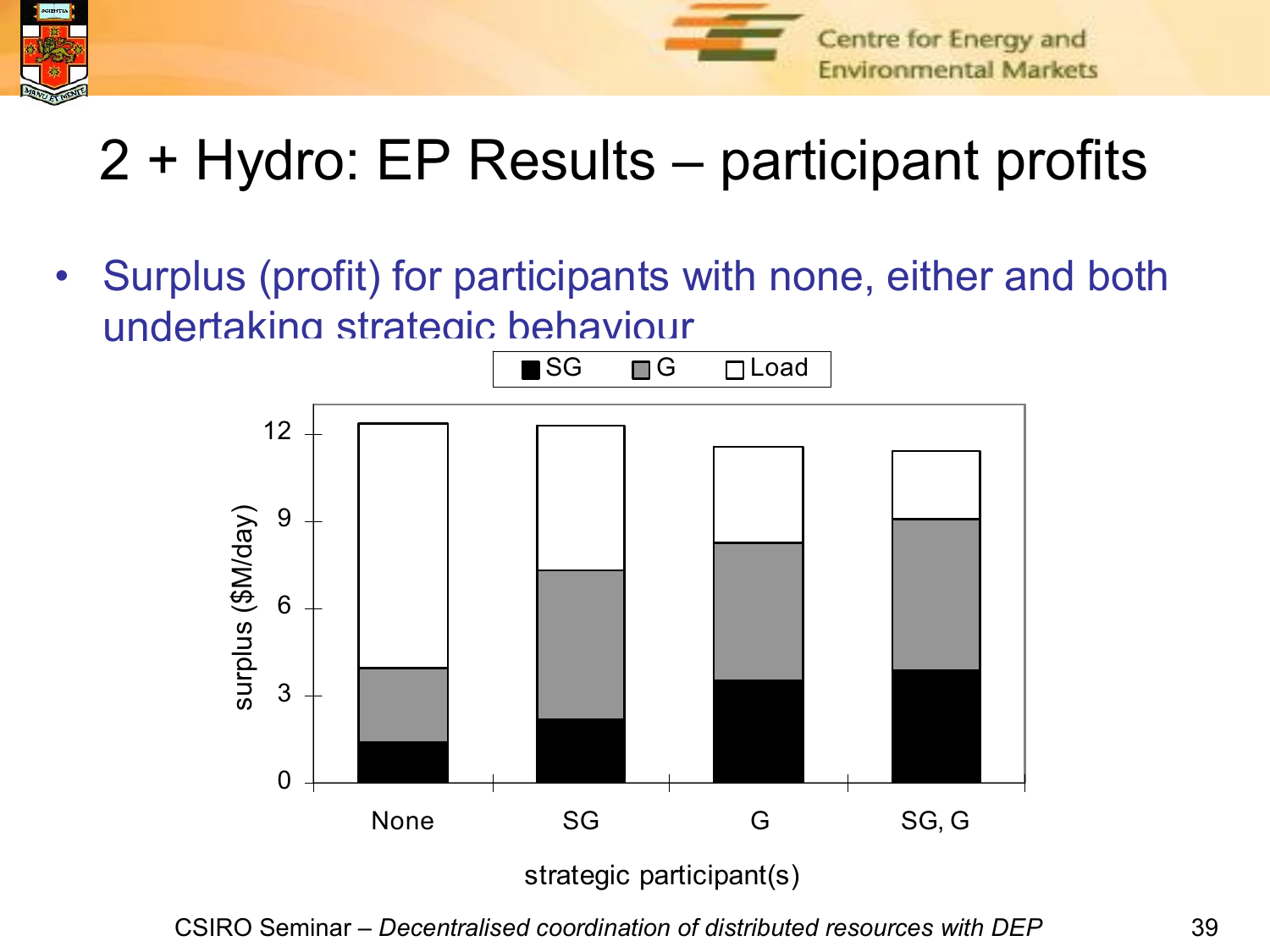



# 2 + Hydro: EP Results – participant profits

• Surplus (profit) for participants with none, either and both undertaking strategic behaviour



CSIRO Seminar – *Decentralised coordination of distributed resources with DEP* 39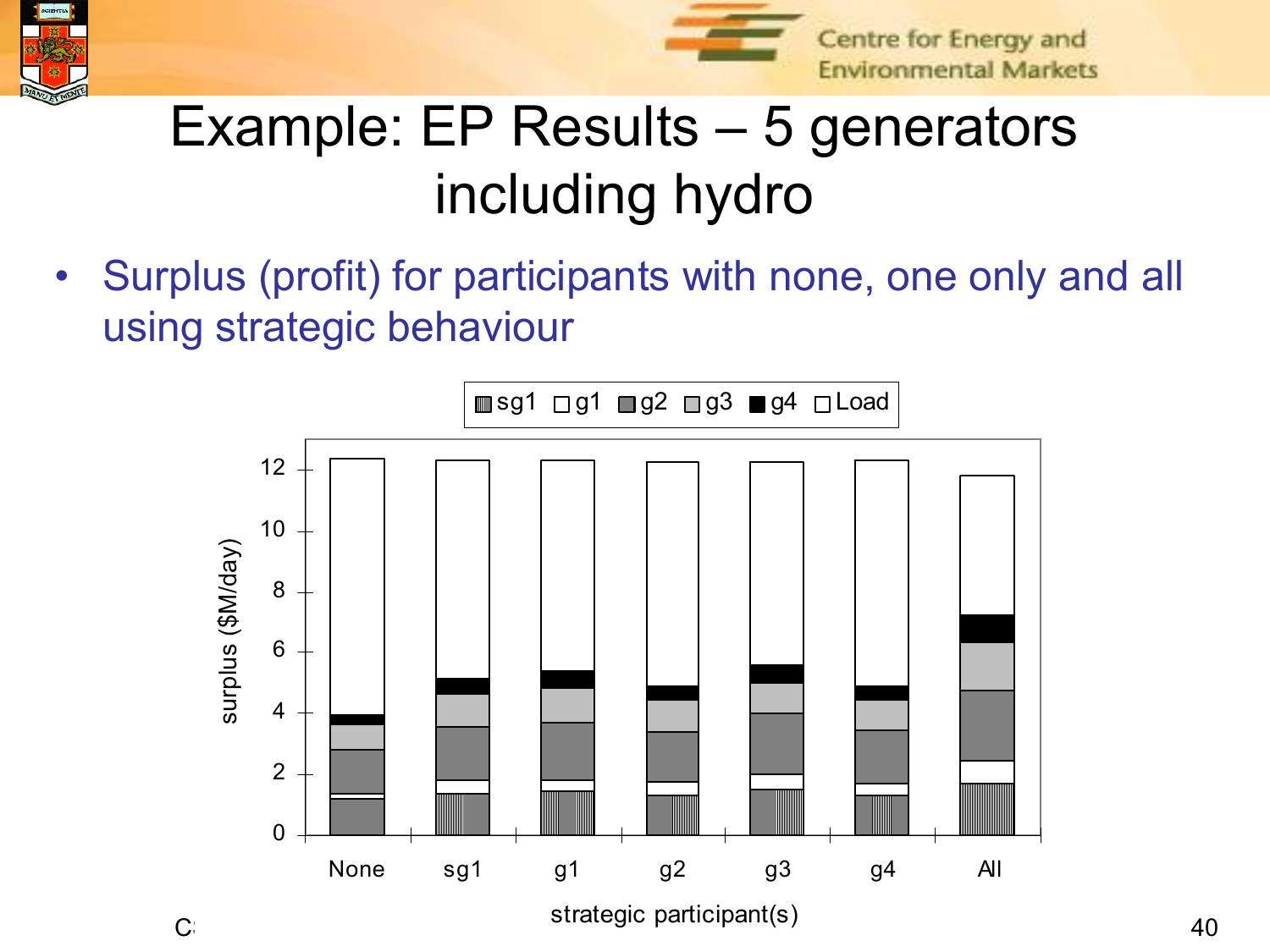



#### Centre for Energy and **Environmental Markets**

# Example: EP Results – 5 generators including hydro

• Surplus (profit) for participants with none, one only and all using strategic behaviour

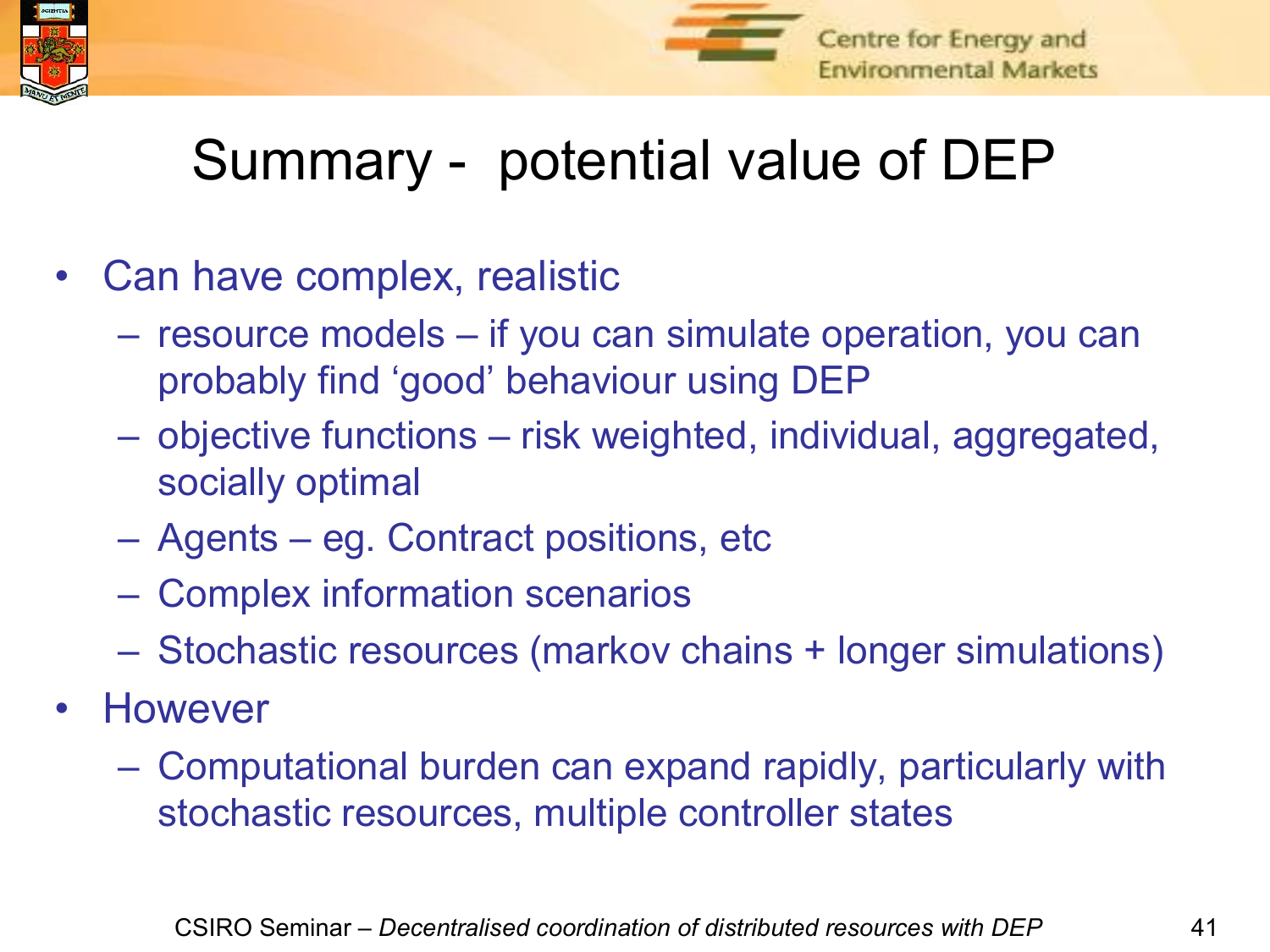



## Summary - potential value of DEP

- Can have complex, realistic
	- resource models if you can simulate operation, you can probably find 'good' behaviour using DEP
	- objective functions risk weighted, individual, aggregated, socially optimal
	- Agents eg. Contract positions, etc
	- Complex information scenarios
	- Stochastic resources (markov chains + longer simulations)
- However
	- Computational burden can expand rapidly, particularly with stochastic resources, multiple controller states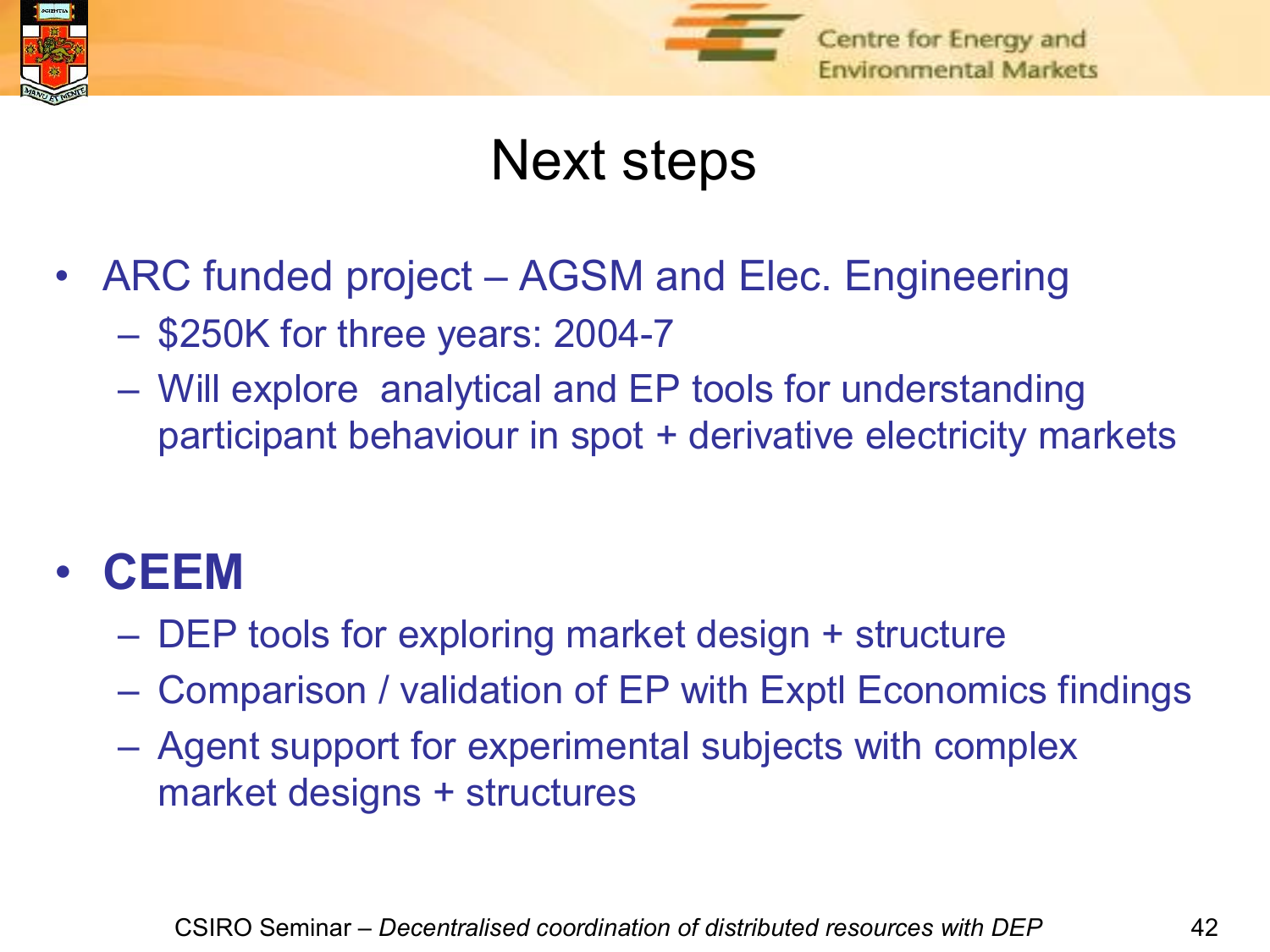



#### Next steps

- ARC funded project AGSM and Elec. Engineering
	- $-$  \$250K for three years: 2004-7
	- Will explore analytical and EP tools for understanding participant behaviour in spot + derivative electricity markets

#### • **CEEM**

- DEP tools for exploring market design + structure
- Comparison / validation of EP with Exptl Economics findings
- Agent support for experimental subjects with complex market designs + structures